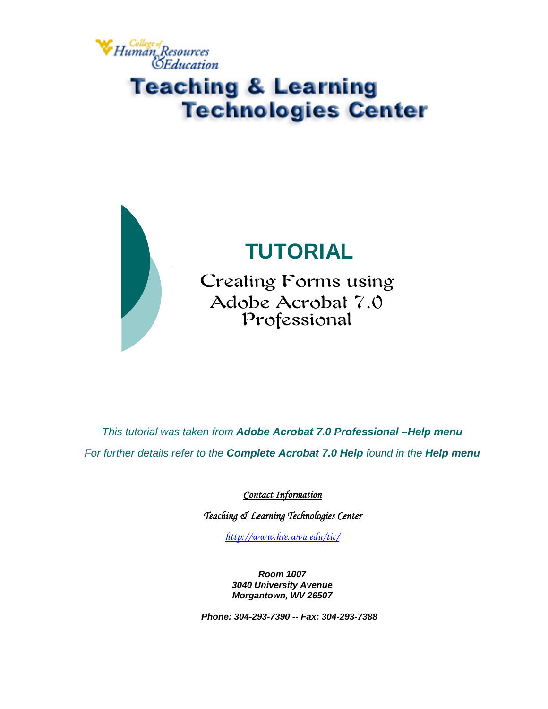

# **Teaching & Learning Technologies Center**



*This tutorial was taken from Adobe Acrobat 7.0 Professional –Help menu For further details refer to the Complete Acrobat 7.0 Help found in the Help menu*

*Contact Information*

*Teaching & Learning Technologies Center* 

*http://www.hre.wvu.edu/tic/*

*Room 1007 3040 University Avenue Morgantown, WV 26507* 

 *Phone: 304-293-7390 -- Fax: 304-293-7388*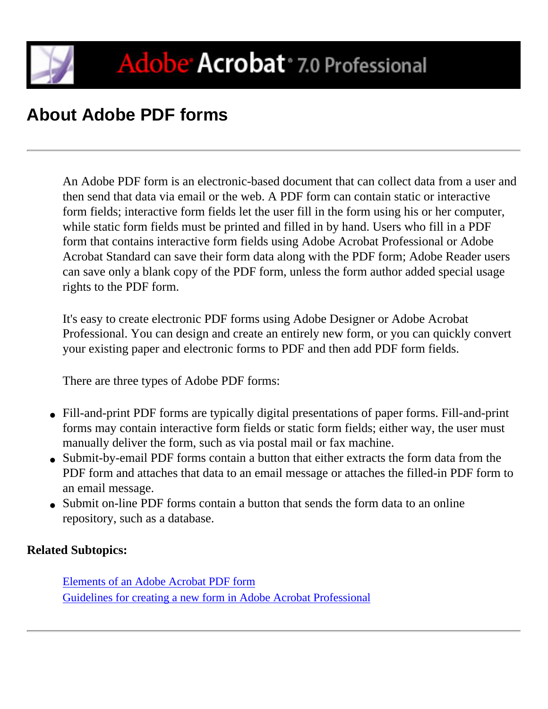

# **About Adobe PDF forms**

An Adobe PDF form is an electronic-based document that can collect data from a user and then send that data via email or the web. A PDF form can contain static or interactive form fields; interactive form fields let the user fill in the form using his or her computer, while static form fields must be printed and filled in by hand. Users who fill in a PDF form that contains interactive form fields using Adobe Acrobat Professional or Adobe Acrobat Standard can save their form data along with the PDF form; Adobe Reader users can save only a blank copy of the PDF form, unless the form author added special usage rights to the PDF form.

It's easy to create electronic PDF forms using Adobe Designer or Adobe Acrobat Professional. You can design and create an entirely new form, or you can quickly convert your existing paper and electronic forms to PDF and then add PDF form fields.

There are three types of Adobe PDF forms:

- Fill-and-print PDF forms are typically digital presentations of paper forms. Fill-and-print forms may contain interactive form fields or static form fields; either way, the user must manually deliver the form, such as via postal mail or fax machine.
- Submit-by-email PDF forms contain a button that either extracts the form data from the PDF form and attaches that data to an email message or attaches the filled-in PDF form to an email message.
- Submit on-line PDF forms contain a button that sends the form data to an online repository, such as a database.

### **Related Subtopics:**

[Elements of an Adobe Acrobat PDF form](#page-2-0) [Guidelines for creating a new form in Adobe Acrobat Professional](#page-3-0)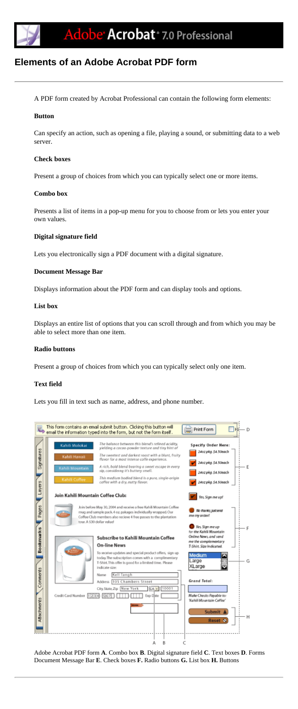<span id="page-2-0"></span>

## **Elements of an Adobe Acrobat PDF form**

A PDF form created by Acrobat Professional can contain the following form elements:

#### **Button**

Can specify an action, such as opening a file, playing a sound, or submitting data to a web server.

### **Check boxes**

Present a group of choices from which you can typically select one or more items.

### **Combo box**

Presents a list of items in a pop-up menu for you to choose from or lets you enter your own values.

### **Digital signature field**

Lets you electronically sign a PDF document with a digital signature.

#### **Document Message Bar**

Displays information about the PDF form and can display tools and options.

### **List box**

Displays an entire list of options that you can scroll through and from which you may be able to select more than one item.

#### **Radio buttons**

Present a group of choices from which you can typically select only one item.

### **Text field**

Lets you fill in text such as name, address, and phone number.

| This form contains an email submit button. Clicking this button will<br>email the information typed into the form, but not the form itself. | $F$ Print Form | $\Box_{\mathbb{R}}$ p |
|---------------------------------------------------------------------------------------------------------------------------------------------|----------------|-----------------------|
|                                                                                                                                             |                |                       |



Adobe Acrobat PDF form **A**. Combo box **B**. Digital signature field **C**. Text boxes **D**. Forms Document Message Bar **E**. Check boxes **F.** Radio buttons **G.** List box **H.** Buttons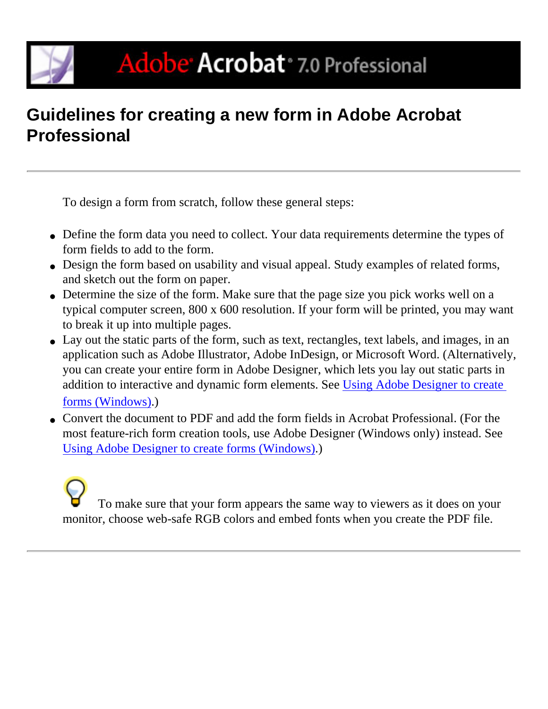<span id="page-3-0"></span>

### **Guidelines for creating a new form in Adobe Acrobat Professional**

To design a form from scratch, follow these general steps:

- Define the form data you need to collect. Your data requirements determine the types of form fields to add to the form.
- Design the form based on usability and visual appeal. Study examples of related forms, and sketch out the form on paper.
- Determine the size of the form. Make sure that the page size you pick works well on a typical computer screen, 800 x 600 resolution. If your form will be printed, you may want to break it up into multiple pages.
- Lay out the static parts of the form, such as text, rectangles, text labels, and images, in an application such as Adobe Illustrator, Adobe InDesign, or Microsoft Word. (Alternatively, you can create your entire form in Adobe Designer, which lets you lay out static parts in addition to interactive and dynamic form elements. See [Using Adobe Designer to create](#page-5-0)  [forms \(Windows\)](#page-5-0).)
- Convert the document to PDF and add the form fields in Acrobat Professional. (For the most feature-rich form creation tools, use Adobe Designer (Windows only) instead. See [Using Adobe Designer to create forms \(Windows\)](#page-5-0).)

 To make sure that your form appears the same way to viewers as it does on your monitor, choose web-safe RGB colors and embed fonts when you create the PDF file.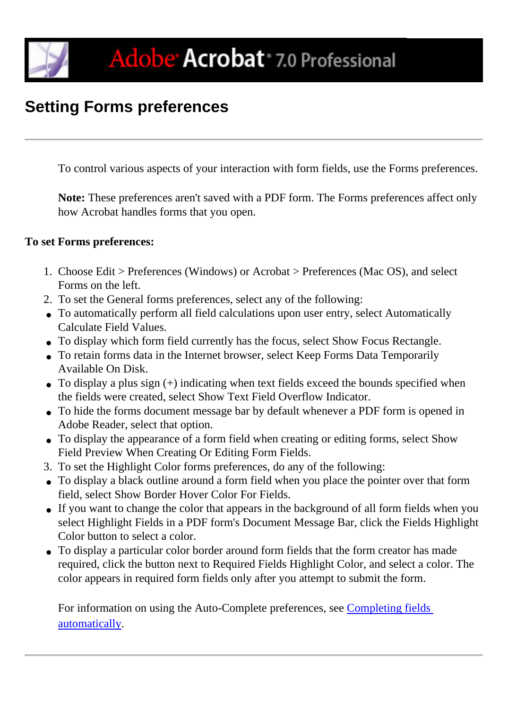<span id="page-4-1"></span>

# **Setting Forms preferences**

To control various aspects of your interaction with form fields, use the Forms preferences.

**Note:** These preferences aren't saved with a PDF form. The Forms preferences affect only how Acrobat handles forms that you open.

### **To set Forms preferences:**

- 1. Choose Edit > Preferences (Windows) or Acrobat > Preferences (Mac OS), and select Forms on the left.
- <span id="page-4-0"></span>2. To set the General forms preferences, select any of the following:
- To automatically perform all field calculations upon user entry, select Automatically Calculate Field Values.
- To display which form field currently has the focus, select Show Focus Rectangle.
- To retain forms data in the Internet browser, select Keep Forms Data Temporarily Available On Disk.
- $\bullet$  To display a plus sign  $(+)$  indicating when text fields exceed the bounds specified when the fields were created, select Show Text Field Overflow Indicator.
- To hide the forms document message bar by default whenever a PDF form is opened in Adobe Reader, select that option.
- To display the appearance of a form field when creating or editing forms, select Show Field Preview When Creating Or Editing Form Fields.
- 3. To set the Highlight Color forms preferences, do any of the following:
- To display a black outline around a form field when you place the pointer over that form field, select Show Border Hover Color For Fields.
- If you want to change the color that appears in the background of all form fields when you select Highlight Fields in a PDF form's Document Message Bar, click the Fields Highlight Color button to select a color.
- To display a particular color border around form fields that the form creator has made required, click the button next to Required Fields Highlight Color, and select a color. The color appears in required form fields only after you attempt to submit the form.

For information on using the Auto-Complete preferences, see Completing fields [automatically](#page-45-0).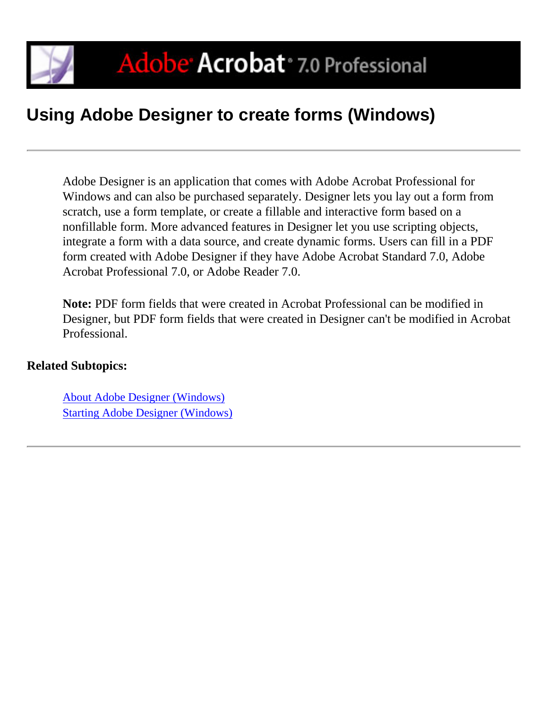<span id="page-5-0"></span>

# **Using Adobe Designer to create forms (Windows)**

Adobe Designer is an application that comes with Adobe Acrobat Professional for Windows and can also be purchased separately. Designer lets you lay out a form from scratch, use a form template, or create a fillable and interactive form based on a nonfillable form. More advanced features in Designer let you use scripting objects, integrate a form with a data source, and create dynamic forms. Users can fill in a PDF form created with Adobe Designer if they have Adobe Acrobat Standard 7.0, Adobe Acrobat Professional 7.0, or Adobe Reader 7.0.

**Note:** PDF form fields that were created in Acrobat Professional can be modified in Designer, but PDF form fields that were created in Designer can't be modified in Acrobat Professional.

### **Related Subtopics:**

[About Adobe Designer \(Windows\)](#page-6-0) [Starting Adobe Designer \(Windows\)](#page-7-0)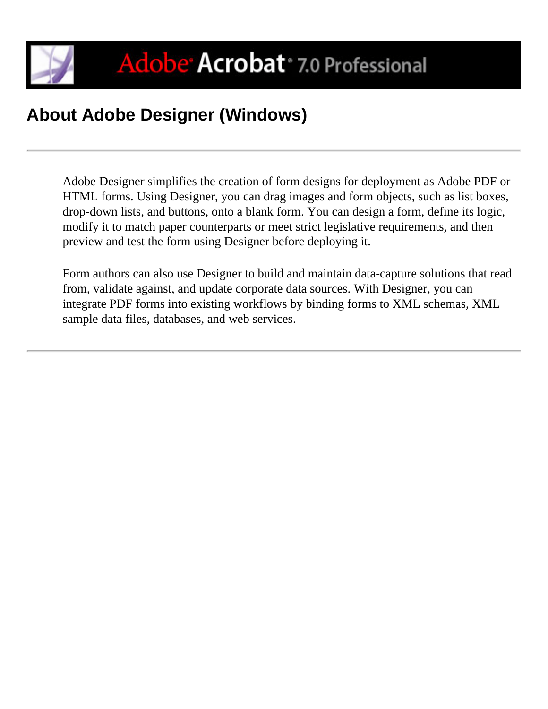<span id="page-6-0"></span>

# **About Adobe Designer (Windows)**

Adobe Designer simplifies the creation of form designs for deployment as Adobe PDF or HTML forms. Using Designer, you can drag images and form objects, such as list boxes, drop-down lists, and buttons, onto a blank form. You can design a form, define its logic, modify it to match paper counterparts or meet strict legislative requirements, and then preview and test the form using Designer before deploying it.

Form authors can also use Designer to build and maintain data-capture solutions that read from, validate against, and update corporate data sources. With Designer, you can integrate PDF forms into existing workflows by binding forms to XML schemas, XML sample data files, databases, and web services.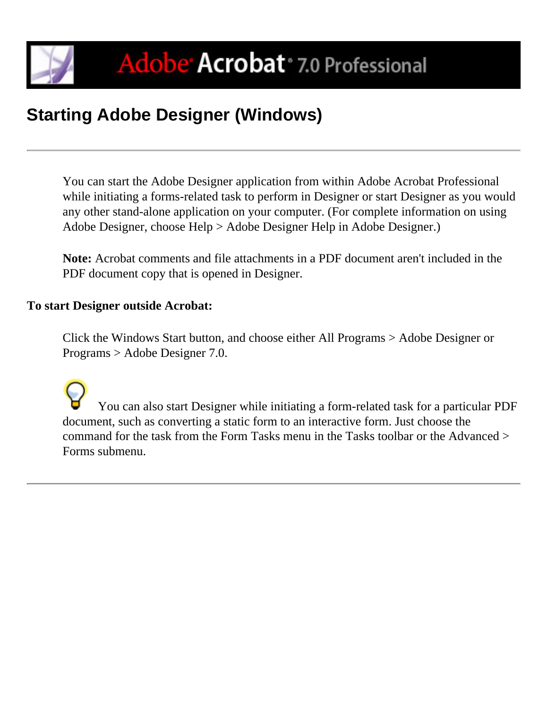<span id="page-7-0"></span>

# **Starting Adobe Designer (Windows)**

You can start the Adobe Designer application from within Adobe Acrobat Professional while initiating a forms-related task to perform in Designer or start Designer as you would any other stand-alone application on your computer. (For complete information on using Adobe Designer, choose Help > Adobe Designer Help in Adobe Designer.)

**Note:** Acrobat comments and file attachments in a PDF document aren't included in the PDF document copy that is opened in Designer.

#### **To start Designer outside Acrobat:**

Click the Windows Start button, and choose either All Programs > Adobe Designer or Programs > Adobe Designer 7.0.

 You can also start Designer while initiating a form-related task for a particular PDF document, such as converting a static form to an interactive form. Just choose the command for the task from the Form Tasks menu in the Tasks toolbar or the Advanced > Forms submenu.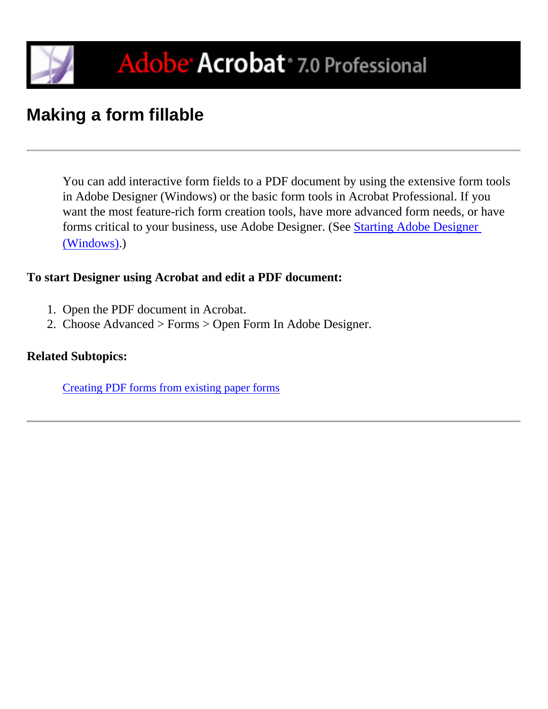

# **Making a form fillable**

You can add interactive form fields to a PDF document by using the extensive form tools in Adobe Designer (Windows) or the basic form tools in Acrobat Professional. If you want the most feature-rich form creation tools, have more advanced form needs, or have forms critical to your business, use Adobe Designer. (See [Starting Adobe Designer](#page-7-0)  [\(Windows\).](#page-7-0))

### **To start Designer using Acrobat and edit a PDF document:**

- 1. Open the PDF document in Acrobat.
- 2. Choose Advanced > Forms > Open Form In Adobe Designer.

#### **Related Subtopics:**

[Creating PDF forms from existing paper forms](#page-9-0)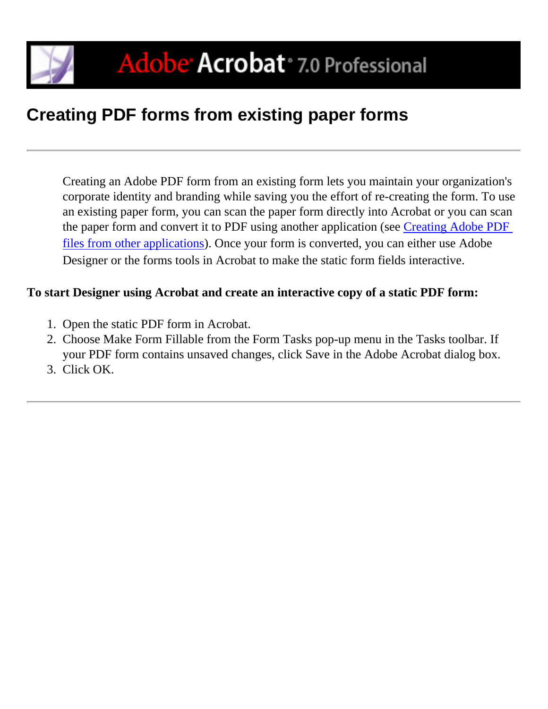<span id="page-9-0"></span>

# **Creating PDF forms from existing paper forms**

Creating an Adobe PDF form from an existing form lets you maintain your organization's corporate identity and branding while saving you the effort of re-creating the form. To use an existing paper form, you can scan the paper form directly into Acrobat or you can scan the paper form and convert it to PDF using another application (see [Creating Adobe PDF](file:///040928/help/Pro/ToSpider/1_6_2_0.html) [files from other applications](file:///040928/help/Pro/ToSpider/1_6_2_0.html)). Once your form is converted, you can either use Adobe Designer or the forms tools in Acrobat to make the static form fields interactive.

### **To start Designer using Acrobat and create an interactive copy of a static PDF form:**

- 1. Open the static PDF form in Acrobat.
- 2. Choose Make Form Fillable from the Form Tasks pop-up menu in the Tasks toolbar. If your PDF form contains unsaved changes, click Save in the Adobe Acrobat dialog box.
- 3. Click OK.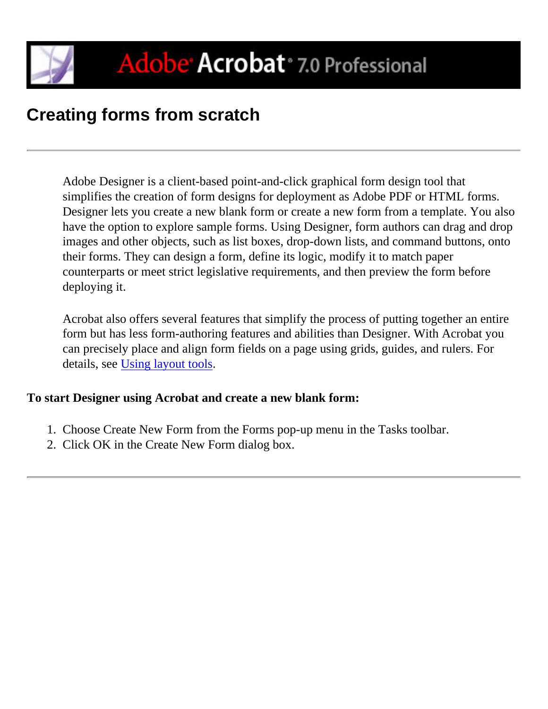

# <span id="page-10-0"></span>**Creating forms from scratch**

Adobe Designer is a client-based point-and-click graphical form design tool that simplifies the creation of form designs for deployment as Adobe PDF or HTML forms. Designer lets you create a new blank form or create a new form from a template. You also have the option to explore sample forms. Using Designer, form authors can drag and drop images and other objects, such as list boxes, drop-down lists, and command buttons, onto their forms. They can design a form, define its logic, modify it to match paper counterparts or meet strict legislative requirements, and then preview the form before deploying it.

Acrobat also offers several features that simplify the process of putting together an entire form but has less form-authoring features and abilities than Designer. With Acrobat you can precisely place and align form fields on a page using grids, guides, and rulers. For details, see [Using layout tools.](file:///040928/help/Pro/ToSpider/1_4_6_0.html)

### **To start Designer using Acrobat and create a new blank form:**

- 1. Choose Create New Form from the Forms pop-up menu in the Tasks toolbar.
- 2. Click OK in the Create New Form dialog box.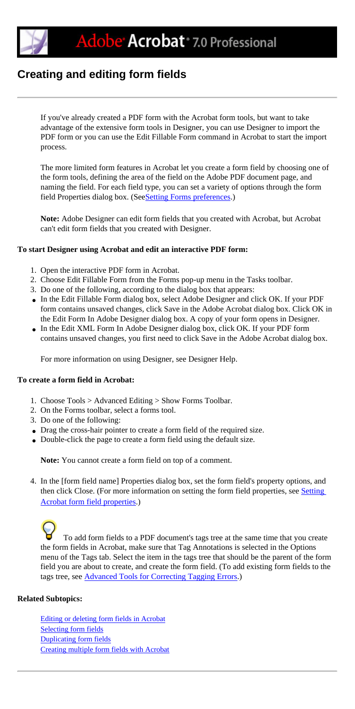<span id="page-11-0"></span>

## **Creating and editing form fields**

If you've already created a PDF form with the Acrobat form tools, but want to take advantage of the extensive form tools in Designer, you can use Designer to import the PDF form or you can use the Edit Fillable Form command in Acrobat to start the import process.

The more limited form features in Acrobat let you create a form field by choosing one of the form tools, defining the area of the field on the Adobe PDF document page, and naming the field. For each field type, you can set a variety of options through the form field Properties dialog box. (See[Setting Forms preferences.](#page-4-0))

**Note:** Adobe Designer can edit form fields that you created with Acrobat, but Acrobat can't edit form fields that you created with Designer.

- 1. Choose Tools > Advanced Editing > Show Forms Toolbar.
- 2. On the Forms toolbar, select a forms tool.
- 3. Do one of the following:
- Drag the cross-hair pointer to create a form field of the required size.
- Double-click the page to create a form field using the default size.

### **To start Designer using Acrobat and edit an interactive PDF form:**

- 1. Open the interactive PDF form in Acrobat.
- 2. Choose Edit Fillable Form from the Forms pop-up menu in the Tasks toolbar.
- 3. Do one of the following, according to the dialog box that appears:
- In the Edit Fillable Form dialog box, select Adobe Designer and click OK. If your PDF form contains unsaved changes, click Save in the Adobe Acrobat dialog box. Click OK in the Edit Form In Adobe Designer dialog box. A copy of your form opens in Designer.
- In the Edit XML Form In Adobe Designer dialog box, click OK. If your PDF form contains unsaved changes, you first need to click Save in the Adobe Acrobat dialog box.

For more information on using Designer, see Designer Help.

### **To create a form field in Acrobat:**

**Note:** You cannot create a form field on top of a comment.

4. In the [form field name] Properties dialog box, set the form field's property options, and then click Close. (For more information on setting the form field properties, see [Setting](#page-16-0)  [Acrobat form field properties](#page-16-0).)



 To add form fields to a PDF document's tags tree at the same time that you create the form fields in Acrobat, make sure that Tag Annotations is selected in the Options menu of the Tags tab. Select the item in the tags tree that should be the parent of the form field you are about to create, and create the form field. (To add existing form fields to the tags tree, see [Advanced Tools for Correcting Tagging Errors](file:///040928/help/Pro/ToSpider/1_27_0_0.html).)

#### **Related Subtopics:**

[Editing or deleting form fields in Acrobat](#page-12-0) [Selecting form fields](#page-13-0) [Duplicating form fields](#page-14-0) [Creating multiple form fields with Acrobat](#page-15-0)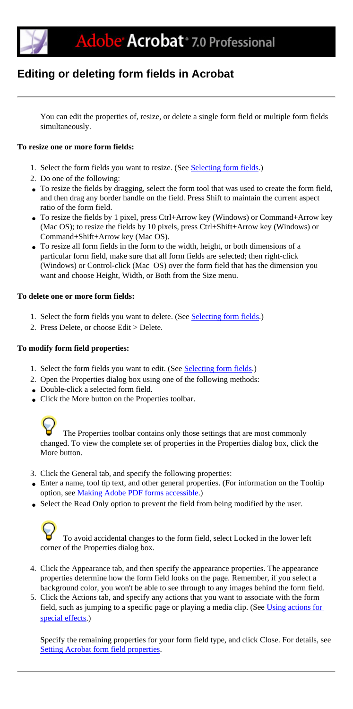<span id="page-12-1"></span><span id="page-12-0"></span>Adobe' Acrobat<sup>®</sup> 7.0 Professional

# **Editing or deleting form fields in Acrobat**

You can edit the properties of, resize, or delete a single form field or multiple form fields simultaneously.

### **To resize one or more form fields:**

- 1. Select the form fields you want to resize. (See [Selecting form fields.](#page-13-1))
- 2. Do one of the following:
- To resize the fields by dragging, select the form tool that was used to create the form field, and then drag any border handle on the field. Press Shift to maintain the current aspect ratio of the form field.
- To resize the fields by 1 pixel, press Ctrl+Arrow key (Windows) or Command+Arrow key (Mac OS); to resize the fields by 10 pixels, press Ctrl+Shift+Arrow key (Windows) or Command+Shift+Arrow key (Mac OS).
- To resize all form fields in the form to the width, height, or both dimensions of a particular form field, make sure that all form fields are selected; then right-click (Windows) or Control-click (Mac OS) over the form field that has the dimension you want and choose Height, Width, or Both from the Size menu.

- 1. Select the form fields you want to delete. (See [Selecting form fields](#page-13-1).)
- 2. Press Delete, or choose Edit > Delete.

- 3. Click the General tab, and specify the following properties:
- Enter a name, tool tip text, and other general properties. (For information on the Tooltip option, see [Making Adobe PDF forms accessible](#page-36-0).)
- Select the Read Only option to prevent the field from being modified by the user.

#### **To delete one or more form fields:**

### **To modify form field properties:**

- 1. Select the form fields you want to edit. (See [Selecting form fields](#page-13-1).)
- 2. Open the Properties dialog box using one of the following methods:
- Double-click a selected form field.
- Click the More button on the Properties toolbar.

 The Properties toolbar contains only those settings that are most commonly changed. To view the complete set of properties in the Properties dialog box, click the More button.

 To avoid accidental changes to the form field, select Locked in the lower left corner of the Properties dialog box.

- 4. Click the Appearance tab, and then specify the appearance properties. The appearance properties determine how the form field looks on the page. Remember, if you select a background color, you won't be able to see through to any images behind the form field.
- 5. Click the Actions tab, and specify any actions that you want to associate with the form field, such as jumping to a specific page or playing a media clip. (See [Using actions for](file:///040928/help/Pro/ToSpider/1_30_5_0.html) [special effects.](file:///040928/help/Pro/ToSpider/1_30_5_0.html))

Specify the remaining properties for your form field type, and click Close. For details, see [Setting Acrobat form field properties.](#page-16-1)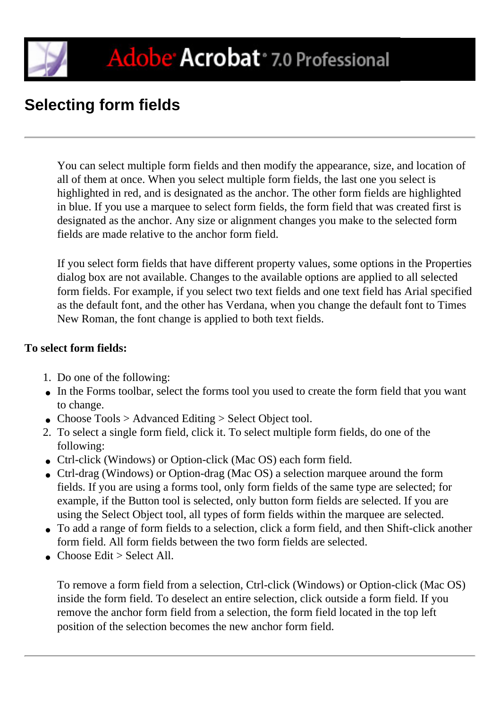

## **Selecting form fields**

You can select multiple form fields and then modify the appearance, size, and location of all of them at once. When you select multiple form fields, the last one you select is highlighted in red, and is designated as the anchor. The other form fields are highlighted in blue. If you use a marquee to select form fields, the form field that was created first is designated as the anchor. Any size or alignment changes you make to the selected form fields are made relative to the anchor form field.

If you select form fields that have different property values, some options in the Properties dialog box are not available. Changes to the available options are applied to all selected form fields. For example, if you select two text fields and one text field has Arial specified as the default font, and the other has Verdana, when you change the default font to Times New Roman, the font change is applied to both text fields.

### <span id="page-13-1"></span><span id="page-13-0"></span>**To select form fields:**

- 1. Do one of the following:
- In the Forms toolbar, select the forms tool you used to create the form field that you want to change.
- Choose Tools > Advanced Editing > Select Object tool.
- 2. To select a single form field, click it. To select multiple form fields, do one of the following:
- Ctrl-click (Windows) or Option-click (Mac OS) each form field.
- Ctrl-drag (Windows) or Option-drag (Mac OS) a selection marquee around the form fields. If you are using a forms tool, only form fields of the same type are selected; for example, if the Button tool is selected, only button form fields are selected. If you are using the Select Object tool, all types of form fields within the marquee are selected.
- To add a range of form fields to a selection, click a form field, and then Shift-click another form field. All form fields between the two form fields are selected.
- Choose Edit  $>$  Select All.

To remove a form field from a selection, Ctrl-click (Windows) or Option-click (Mac OS) inside the form field. To deselect an entire selection, click outside a form field. If you remove the anchor form field from a selection, the form field located in the top left position of the selection becomes the new anchor form field.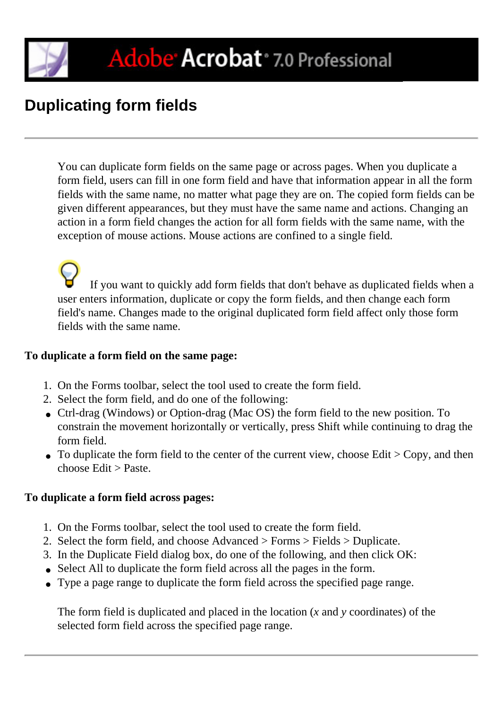

# **Duplicating form fields**

You can duplicate form fields on the same page or across pages. When you duplicate a form field, users can fill in one form field and have that information appear in all the form fields with the same name, no matter what page they are on. The copied form fields can be given different appearances, but they must have the same name and actions. Changing an action in a form field changes the action for all form fields with the same name, with the exception of mouse actions. Mouse actions are confined to a single field.

 If you want to quickly add form fields that don't behave as duplicated fields when a user enters information, duplicate or copy the form fields, and then change each form field's name. Changes made to the original duplicated form field affect only those form fields with the same name.

### <span id="page-14-0"></span>**To duplicate a form field on the same page:**

- 1. On the Forms toolbar, select the tool used to create the form field.
- 2. Select the form field, and do one of the following:
- Ctrl-drag (Windows) or Option-drag (Mac OS) the form field to the new position. To constrain the movement horizontally or vertically, press Shift while continuing to drag the form field.
- To duplicate the form field to the center of the current view, choose Edit  $>$  Copy, and then choose Edit > Paste.

### **To duplicate a form field across pages:**

- 1. On the Forms toolbar, select the tool used to create the form field.
- 2. Select the form field, and choose Advanced > Forms > Fields > Duplicate.
- 3. In the Duplicate Field dialog box, do one of the following, and then click OK:
- Select All to duplicate the form field across all the pages in the form.
- Type a page range to duplicate the form field across the specified page range.

The form field is duplicated and placed in the location (*x* and *y* coordinates) of the selected form field across the specified page range.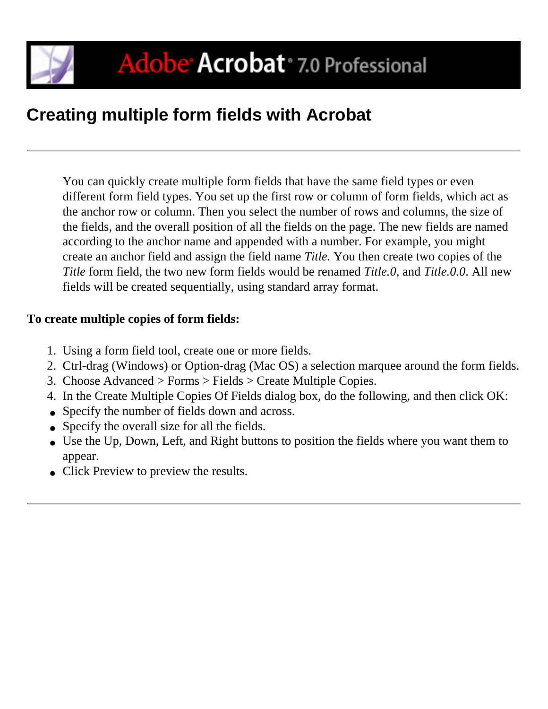

# **Creating multiple form fields with Acrobat**

You can quickly create multiple form fields that have the same field types or even different form field types. You set up the first row or column of form fields, which act as the anchor row or column. Then you select the number of rows and columns, the size of the fields, and the overall position of all the fields on the page. The new fields are named according to the anchor name and appended with a number. For example, you might create an anchor field and assign the field name *Title.* You then create two copies of the *Title* form field, the two new form fields would be renamed *Title.0*, and *Title.0.0*. All new fields will be created sequentially, using standard array format.

#### **To create multiple copies of form fields:**

- 1. Using a form field tool, create one or more fields.
- 2. Ctrl-drag (Windows) or Option-drag (Mac OS) a selection marquee around the form fields.
- 3. Choose Advanced > Forms > Fields > Create Multiple Copies.
- <span id="page-15-0"></span>4. In the Create Multiple Copies Of Fields dialog box, do the following, and then click OK:
- Specify the number of fields down and across.
- Specify the overall size for all the fields.
- Use the Up, Down, Left, and Right buttons to position the fields where you want them to appear.
- Click Preview to preview the results.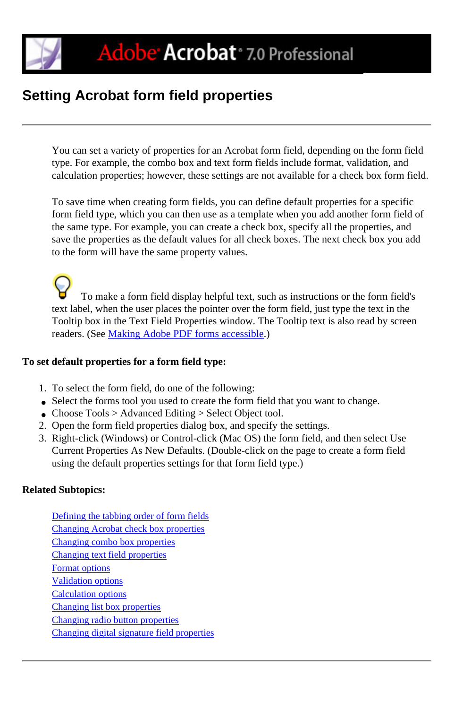Adobe<sup>®</sup> Acrobat<sup>®</sup> 7.0 Professional

## **Setting Acrobat form field properties**

You can set a variety of properties for an Acrobat form field, depending on the form field type. For example, the combo box and text form fields include format, validation, and calculation properties; however, these settings are not available for a check box form field.

<span id="page-16-1"></span><span id="page-16-0"></span>To save time when creating form fields, you can define default properties for a specific form field type, which you can then use as a template when you add another form field of the same type. For example, you can create a check box, specify all the properties, and save the properties as the default values for all check boxes. The next check box you add to the form will have the same property values.

 To make a form field display helpful text, such as instructions or the form field's text label, when the user places the pointer over the form field, just type the text in the Tooltip box in the Text Field Properties window. The Tooltip text is also read by screen readers. (See [Making Adobe PDF forms accessible.](#page-36-1))

### **To set default properties for a form field type:**

- 1. To select the form field, do one of the following:
- Select the forms tool you used to create the form field that you want to change.
- Choose Tools > Advanced Editing > Select Object tool.
- 2. Open the form field properties dialog box, and specify the settings.
- 3. Right-click (Windows) or Control-click (Mac OS) the form field, and then select Use Current Properties As New Defaults. (Double-click on the page to create a form field using the default properties settings for that form field type.)

#### **Related Subtopics:**

[Defining the tabbing order of form fields](#page-17-0) [Changing Acrobat check box properties](#page-18-0) [Changing combo box properties](#page-19-0) [Changing text field properties](#page-20-0) [Format options](#page-21-0) [Validation options](#page-22-0) [Calculation options](#page-23-0) [Changing list box properties](#page-24-0) [Changing radio button properties](#page-25-0) [Changing digital signature field properties](#page-26-0)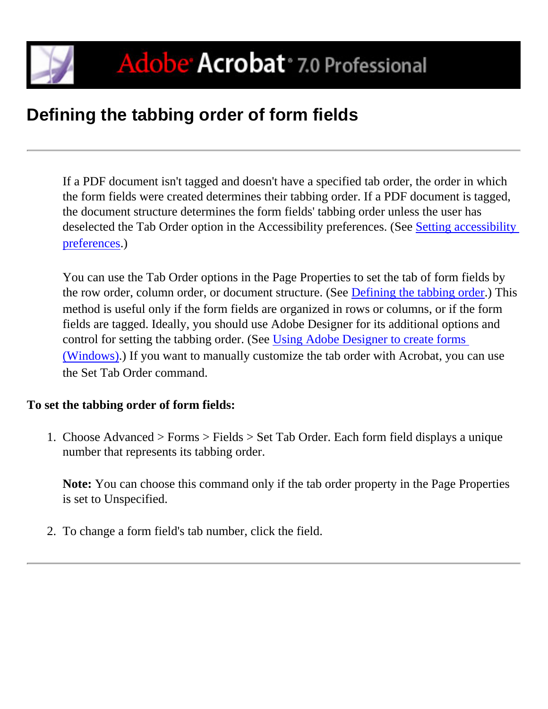

# <span id="page-17-0"></span>**Defining the tabbing order of form fields**

If a PDF document isn't tagged and doesn't have a specified tab order, the order in which the form fields were created determines their tabbing order. If a PDF document is tagged, the document structure determines the form fields' tabbing order unless the user has deselected the Tab Order option in the Accessibility preferences. (See [Setting accessibility](file:///040928/help/Pro/ToSpider/1_28_2_0.html) [preferences.](file:///040928/help/Pro/ToSpider/1_28_2_0.html))

You can use the Tab Order options in the Page Properties to set the tab of form fields by the row order, column order, or document structure. (See [Defining the tabbing order.](file:///040928/help/Pro/ToSpider/1_30_2_0.html)) This method is useful only if the form fields are organized in rows or columns, or if the form fields are tagged. Ideally, you should use Adobe Designer for its additional options and control for setting the tabbing order. (See [Using Adobe Designer to create forms](#page-5-0)  [\(Windows\).](#page-5-0)) If you want to manually customize the tab order with Acrobat, you can use the Set Tab Order command.

### **To set the tabbing order of form fields:**

1. Choose Advanced > Forms > Fields > Set Tab Order. Each form field displays a unique number that represents its tabbing order.

**Note:** You can choose this command only if the tab order property in the Page Properties is set to Unspecified.

2. To change a form field's tab number, click the field.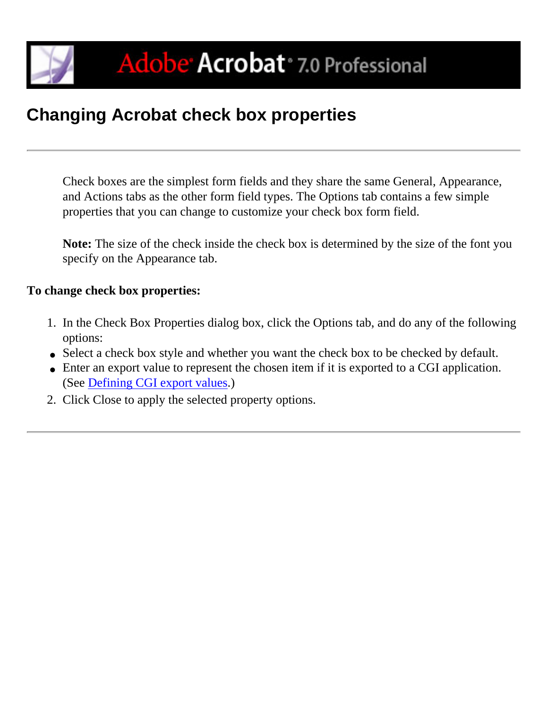

### <span id="page-18-0"></span>**Changing Acrobat check box properties**

Check boxes are the simplest form fields and they share the same General, Appearance, and Actions tabs as the other form field types. The Options tab contains a few simple properties that you can change to customize your check box form field.

**Note:** The size of the check inside the check box is determined by the size of the font you specify on the Appearance tab.

#### **To change check box properties:**

- 1. In the Check Box Properties dialog box, click the Options tab, and do any of the following options:
- Select a check box style and whether you want the check box to be checked by default.
- Enter an export value to represent the chosen item if it is exported to a CGI application. (See [Defining CGI export values](#page-41-0).)
- 2. Click Close to apply the selected property options.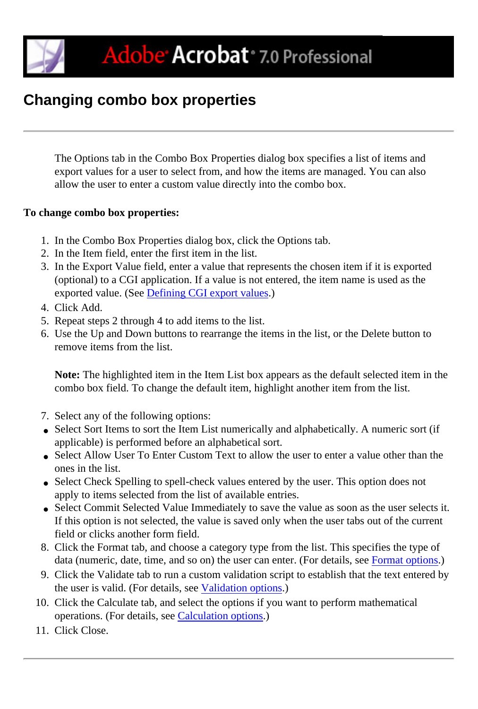<span id="page-19-0"></span>

# **Changing combo box properties**

The Options tab in the Combo Box Properties dialog box specifies a list of items and export values for a user to select from, and how the items are managed. You can also allow the user to enter a custom value directly into the combo box.

### **To change combo box properties:**

- 1. In the Combo Box Properties dialog box, click the Options tab.
- 2. In the Item field, enter the first item in the list.
- 3. In the Export Value field, enter a value that represents the chosen item if it is exported (optional) to a CGI application. If a value is not entered, the item name is used as the exported value. (See [Defining CGI export values](#page-41-1).)
- 4. Click Add.
- 5. Repeat steps 2 through 4 to add items to the list.
- 6. Use the Up and Down buttons to rearrange the items in the list, or the Delete button to remove items from the list.

**Note:** The highlighted item in the Item List box appears as the default selected item in the combo box field. To change the default item, highlight another item from the list.

- 7. Select any of the following options:
- Select Sort Items to sort the Item List numerically and alphabetically. A numeric sort (if applicable) is performed before an alphabetical sort.
- Select Allow User To Enter Custom Text to allow the user to enter a value other than the ones in the list.
- Select Check Spelling to spell-check values entered by the user. This option does not apply to items selected from the list of available entries.
- Select Commit Selected Value Immediately to save the value as soon as the user selects it. If this option is not selected, the value is saved only when the user tabs out of the current field or clicks another form field.
- 8. Click the Format tab, and choose a category type from the list. This specifies the type of data (numeric, date, time, and so on) the user can enter. (For details, see [Format options](#page-21-1).)
- 9. Click the Validate tab to run a custom validation script to establish that the text entered by the user is valid. (For details, see [Validation options.](#page-22-1))
- 10. Click the Calculate tab, and select the options if you want to perform mathematical operations. (For details, see [Calculation options](#page-23-1).)
- 11. Click Close.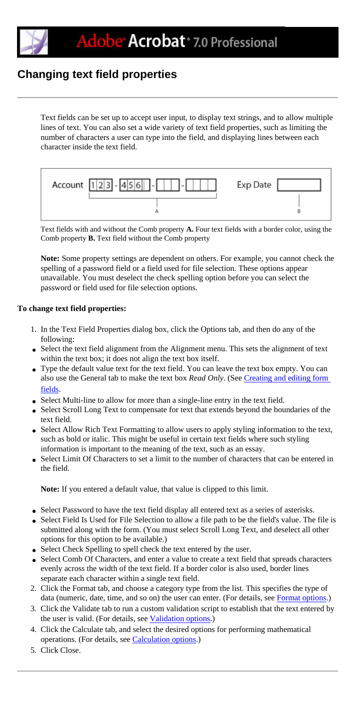<span id="page-20-0"></span>

## **Changing text field properties**

Text fields can be set up to accept user input, to display text strings, and to allow multiple lines of text. You can also set a wide variety of text field properties, such as limiting the number of characters a user can type into the field, and displaying lines between each character inside the text field.



Text fields with and without the Comb property **A.** Four text fields with a border color, using the Comb property **B.** Text field without the Comb property

**Note:** Some property settings are dependent on others. For example, you cannot check the spelling of a password field or a field used for file selection. These options appear unavailable. You must deselect the check spelling option before you can select the password or field used for file selection options.

### **To change text field properties:**

- 1. In the Text Field Properties dialog box, click the Options tab, and then do any of the following:
- Select the text field alignment from the Alignment menu. This sets the alignment of text within the text box; it does not align the text box itself.
- Type the default value text for the text field. You can leave the text box empty. You can also use the General tab to make the text box *Read Only*. (See [Creating and editing form](#page-11-0)  [fields](#page-11-0).
- Select Multi-line to allow for more than a single-line entry in the text field.
- Select Scroll Long Text to compensate for text that extends beyond the boundaries of the text field.
- Select Allow Rich Text Formatting to allow users to apply styling information to the text, such as bold or italic. This might be useful in certain text fields where such styling information is important to the meaning of the text, such as an essay.
- Select Limit Of Characters to set a limit to the number of characters that can be entered in the field.

- Select Check Spelling to spell check the text entered by the user.
- Select Comb Of Characters, and enter a value to create a text field that spreads characters evenly across the width of the text field. If a border color is also used, border lines separate each character within a single text field.
- 2. Click the Format tab, and choose a category type from the list. This specifies the type of data (numeric, date, time, and so on) the user can enter. (For details, see [Format options](#page-21-2).)
- 3. Click the Validate tab to run a custom validation script to establish that the text entered by the user is valid. (For details, see [Validation options.](#page-22-2))
- 4. Click the Calculate tab, and select the desired options for performing mathematical operations. (For details, see [Calculation options](#page-23-2).)
- 5. Click Close.

**Note:** If you entered a default value, that value is clipped to this limit.

- Select Password to have the text field display all entered text as a series of asterisks.
- Select Field Is Used for File Selection to allow a file path to be the field's value. The file is

submitted along with the form. (You must select Scroll Long Text, and deselect all other options for this option to be available.)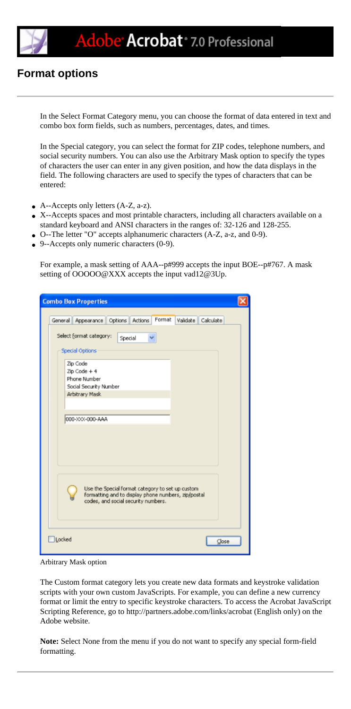<span id="page-21-3"></span><span id="page-21-2"></span><span id="page-21-1"></span><span id="page-21-0"></span>

### **Format options**

In the Select Format Category menu, you can choose the format of data entered in text and combo box form fields, such as numbers, percentages, dates, and times.

In the Special category, you can select the format for ZIP codes, telephone numbers, and social security numbers. You can also use the Arbitrary Mask option to specify the types of characters the user can enter in any given position, and how the data displays in the field. The following characters are used to specify the types of characters that can be entered:

- A--Accepts only letters  $(A-Z, a-z)$ .
- X--Accepts spaces and most printable characters, including all characters available on a standard keyboard and ANSI characters in the ranges of: 32-126 and 128-255.
- O--The letter "O" accepts alphanumeric characters (A-Z, a-z, and 0-9).
- 9--Accepts only numeric characters (0-9).

For example, a mask setting of AAA--p#999 accepts the input BOE--p#767. A mask setting of OOOOO@XXX accepts the input vad12@3Up.

| ] Locked | Close |
|----------|-------|

Arbitrary Mask option

The Custom format category lets you create new data formats and keystroke validation scripts with your own custom JavaScripts. For example, you can define a new currency format or limit the entry to specific keystroke characters. To access the Acrobat JavaScript Scripting Reference, go to http://partners.adobe.com/links/acrobat (English only) on the Adobe website.

**Note:** Select None from the menu if you do not want to specify any special form-field formatting.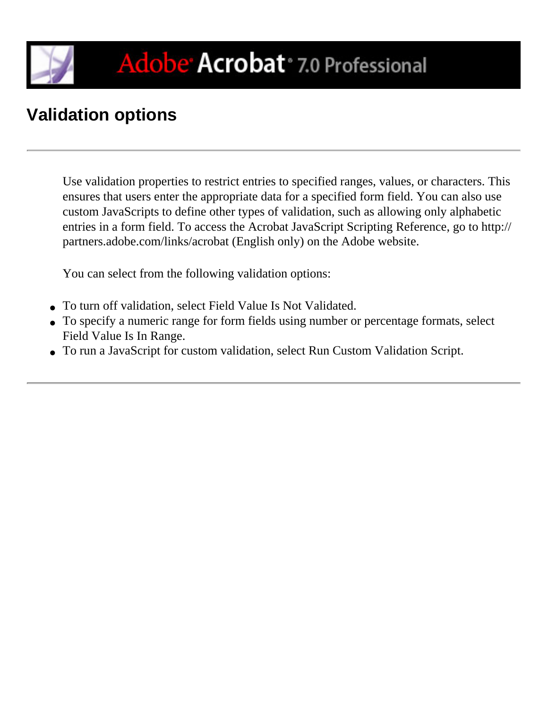

# <span id="page-22-1"></span><span id="page-22-0"></span>**Validation options**

Use validation properties to restrict entries to specified ranges, values, or characters. This ensures that users enter the appropriate data for a specified form field. You can also use custom JavaScripts to define other types of validation, such as allowing only alphabetic entries in a form field. To access the Acrobat JavaScript Scripting Reference, go to http:// partners.adobe.com/links/acrobat (English only) on the Adobe website.

You can select from the following validation options:

- To turn off validation, select Field Value Is Not Validated.
- To specify a numeric range for form fields using number or percentage formats, select Field Value Is In Range.
- <span id="page-22-2"></span>● To run a JavaScript for custom validation, select Run Custom Validation Script.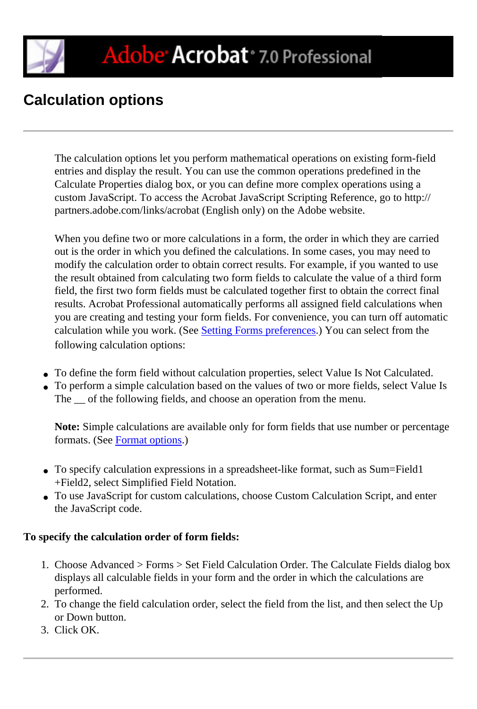<span id="page-23-1"></span><span id="page-23-0"></span>

### **Calculation options**

The calculation options let you perform mathematical operations on existing form-field entries and display the result. You can use the common operations predefined in the Calculate Properties dialog box, or you can define more complex operations using a custom JavaScript. To access the Acrobat JavaScript Scripting Reference, go to http:// partners.adobe.com/links/acrobat (English only) on the Adobe website.

<span id="page-23-2"></span>When you define two or more calculations in a form, the order in which they are carried out is the order in which you defined the calculations. In some cases, you may need to modify the calculation order to obtain correct results. For example, if you wanted to use the result obtained from calculating two form fields to calculate the value of a third form field, the first two form fields must be calculated together first to obtain the correct final results. Acrobat Professional automatically performs all assigned field calculations when you are creating and testing your form fields. For convenience, you can turn off automatic calculation while you work. (See [Setting Forms preferences](#page-4-1).) You can select from the following calculation options:

- To define the form field without calculation properties, select Value Is Not Calculated.
- To perform a simple calculation based on the values of two or more fields, select Value Is The \_\_ of the following fields, and choose an operation from the menu.

**Note:** Simple calculations are available only for form fields that use number or percentage formats. (See [Format options](#page-21-3).)

- To specify calculation expressions in a spreadsheet-like format, such as Sum=Field1 +Field2, select Simplified Field Notation.
- To use JavaScript for custom calculations, choose Custom Calculation Script, and enter the JavaScript code.

### **To specify the calculation order of form fields:**

- 1. Choose Advanced > Forms > Set Field Calculation Order. The Calculate Fields dialog box displays all calculable fields in your form and the order in which the calculations are performed.
- 2. To change the field calculation order, select the field from the list, and then select the Up or Down button.
- 3. Click OK.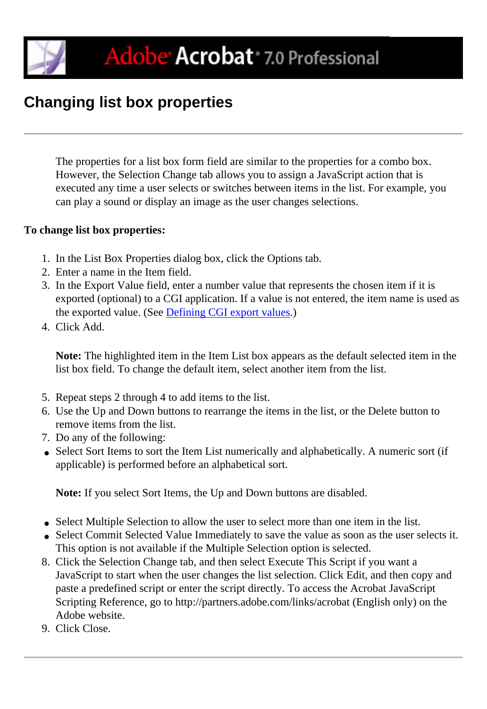<span id="page-24-0"></span>

# **Changing list box properties**

The properties for a list box form field are similar to the properties for a combo box. However, the Selection Change tab allows you to assign a JavaScript action that is executed any time a user selects or switches between items in the list. For example, you can play a sound or display an image as the user changes selections.

### **To change list box properties:**

- 1. In the List Box Properties dialog box, click the Options tab.
- 2. Enter a name in the Item field.
- 3. In the Export Value field, enter a number value that represents the chosen item if it is exported (optional) to a CGI application. If a value is not entered, the item name is used as the exported value. (See [Defining CGI export values.](#page-41-2))
- 4. Click Add.

**Note:** The highlighted item in the Item List box appears as the default selected item in the list box field. To change the default item, select another item from the list.

- 5. Repeat steps 2 through 4 to add items to the list.
- 6. Use the Up and Down buttons to rearrange the items in the list, or the Delete button to remove items from the list.
- 7. Do any of the following:
- Select Sort Items to sort the Item List numerically and alphabetically. A numeric sort (if applicable) is performed before an alphabetical sort.

**Note:** If you select Sort Items, the Up and Down buttons are disabled.

- Select Multiple Selection to allow the user to select more than one item in the list.
- Select Commit Selected Value Immediately to save the value as soon as the user selects it. This option is not available if the Multiple Selection option is selected.
- 8. Click the Selection Change tab, and then select Execute This Script if you want a JavaScript to start when the user changes the list selection. Click Edit, and then copy and paste a predefined script or enter the script directly. To access the Acrobat JavaScript Scripting Reference, go to http://partners.adobe.com/links/acrobat (English only) on the Adobe website.
- 9. Click Close.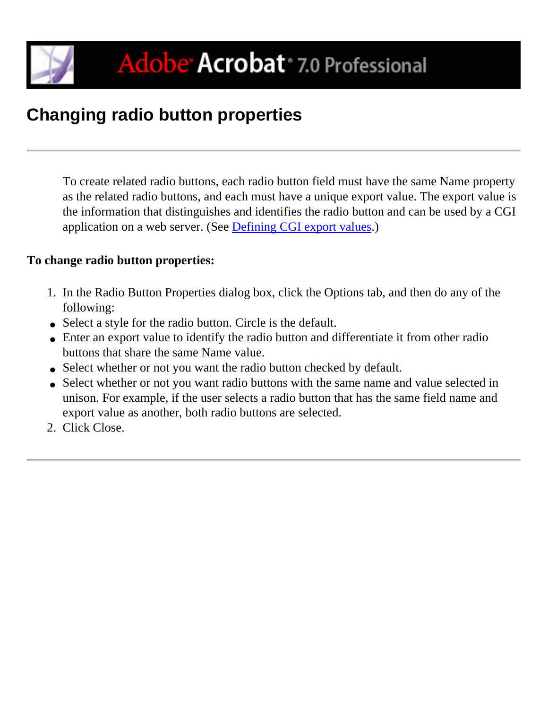

# <span id="page-25-0"></span>**Changing radio button properties**

To create related radio buttons, each radio button field must have the same Name property as the related radio buttons, and each must have a unique export value. The export value is the information that distinguishes and identifies the radio button and can be used by a CGI application on a web server. (See [Defining CGI export values](#page-41-0).)

### **To change radio button properties:**

- 1. In the Radio Button Properties dialog box, click the Options tab, and then do any of the following:
- Select a style for the radio button. Circle is the default.
- Enter an export value to identify the radio button and differentiate it from other radio buttons that share the same Name value.
- Select whether or not you want the radio button checked by default.
- Select whether or not you want radio buttons with the same name and value selected in unison. For example, if the user selects a radio button that has the same field name and export value as another, both radio buttons are selected.
- 2. Click Close.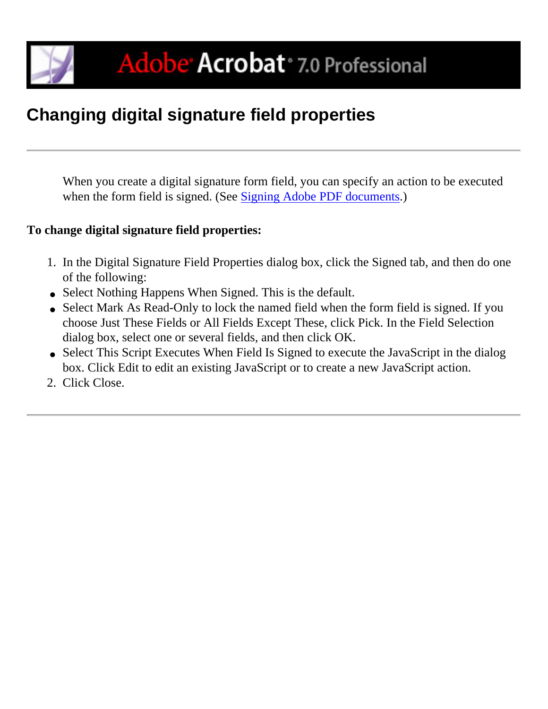

# <span id="page-26-0"></span>**Changing digital signature field properties**

When you create a digital signature form field, you can specify an action to be executed when the form field is signed. (See [Signing Adobe PDF documents.](file:///040928/help/Pro/ToSpider/1_21_2_0.html))

### **To change digital signature field properties:**

- 1. In the Digital Signature Field Properties dialog box, click the Signed tab, and then do one of the following:
- Select Nothing Happens When Signed. This is the default.
- Select Mark As Read-Only to lock the named field when the form field is signed. If you choose Just These Fields or All Fields Except These, click Pick. In the Field Selection dialog box, select one or several fields, and then click OK.
- Select This Script Executes When Field Is Signed to execute the JavaScript in the dialog box. Click Edit to edit an existing JavaScript or to create a new JavaScript action.
- 2. Click Close.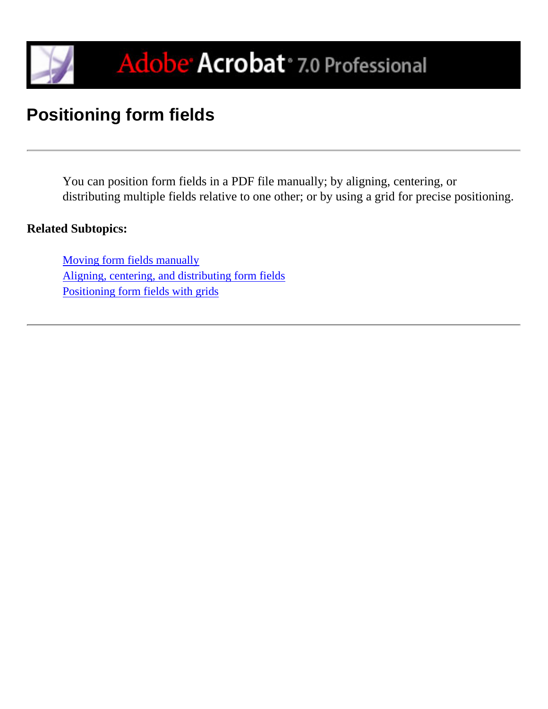

# **Positioning form fields**

You can position form fields in a PDF file manually; by aligning, centering, or distributing multiple fields relative to one other; or by using a grid for precise positioning.

#### **Related Subtopics:**

[Moving form fields manually](#page-28-0) [Aligning, centering, and distributing form fields](#page-29-0) [Positioning form fields with grids](#page-30-0)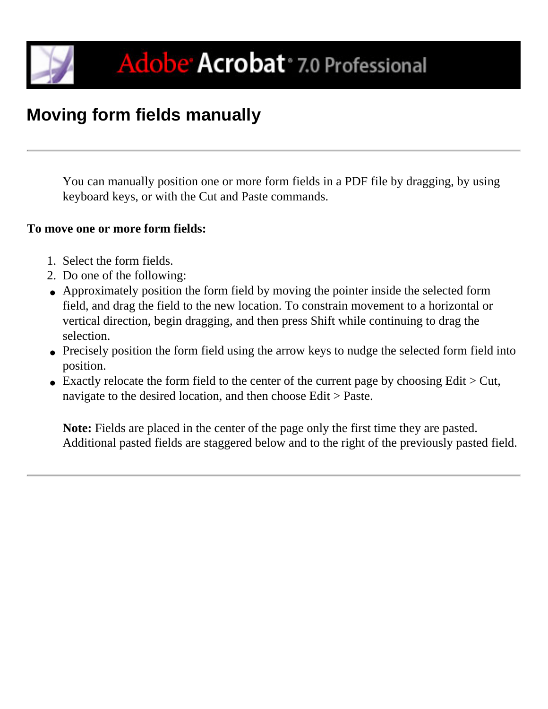<span id="page-28-0"></span>

# **Moving form fields manually**

You can manually position one or more form fields in a PDF file by dragging, by using keyboard keys, or with the Cut and Paste commands.

#### **To move one or more form fields:**

- 1. Select the form fields.
- 2. Do one of the following:
- Approximately position the form field by moving the pointer inside the selected form field, and drag the field to the new location. To constrain movement to a horizontal or vertical direction, begin dragging, and then press Shift while continuing to drag the selection.
- Precisely position the form field using the arrow keys to nudge the selected form field into position.
- Exactly relocate the form field to the center of the current page by choosing Edit  $>$  Cut, navigate to the desired location, and then choose Edit > Paste.

**Note:** Fields are placed in the center of the page only the first time they are pasted. Additional pasted fields are staggered below and to the right of the previously pasted field.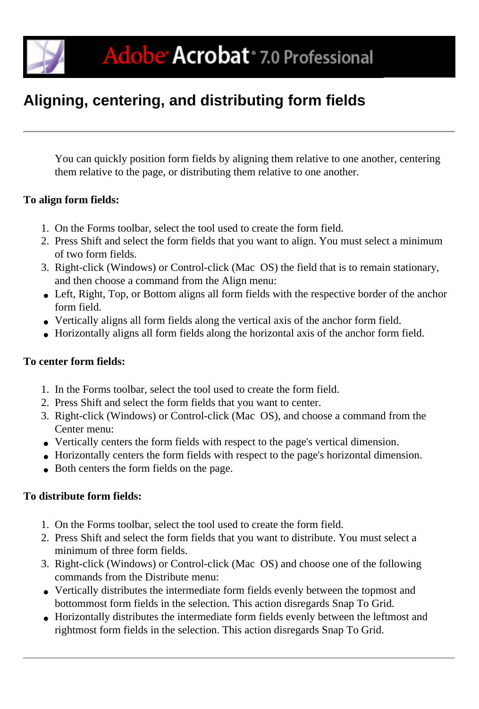<span id="page-29-0"></span>Adobe<sup></sup> Acrobat<sup>®</sup> 7.0 Professional

# **Aligning, centering, and distributing form fields**

You can quickly position form fields by aligning them relative to one another, centering them relative to the page, or distributing them relative to one another.

### **To align form fields:**

- 1. On the Forms toolbar, select the tool used to create the form field.
- 2. Press Shift and select the form fields that you want to align. You must select a minimum of two form fields.
- 3. Right-click (Windows) or Control-click (Mac OS) the field that is to remain stationary, and then choose a command from the Align menu:
- Left, Right, Top, or Bottom aligns all form fields with the respective border of the anchor form field.
- Vertically aligns all form fields along the vertical axis of the anchor form field.
- Horizontally aligns all form fields along the horizontal axis of the anchor form field.

### **To center form fields:**

- 1. In the Forms toolbar, select the tool used to create the form field.
- 2. Press Shift and select the form fields that you want to center.
- 3. Right-click (Windows) or Control-click (Mac OS), and choose a command from the Center menu:
- Vertically centers the form fields with respect to the page's vertical dimension.
- Horizontally centers the form fields with respect to the page's horizontal dimension.
- Both centers the form fields on the page.

### **To distribute form fields:**

- 1. On the Forms toolbar, select the tool used to create the form field.
- 2. Press Shift and select the form fields that you want to distribute. You must select a minimum of three form fields.
- 3. Right-click (Windows) or Control-click (Mac OS) and choose one of the following commands from the Distribute menu:
- Vertically distributes the intermediate form fields evenly between the topmost and bottommost form fields in the selection. This action disregards Snap To Grid.
- Horizontally distributes the intermediate form fields evenly between the leftmost and rightmost form fields in the selection. This action disregards Snap To Grid.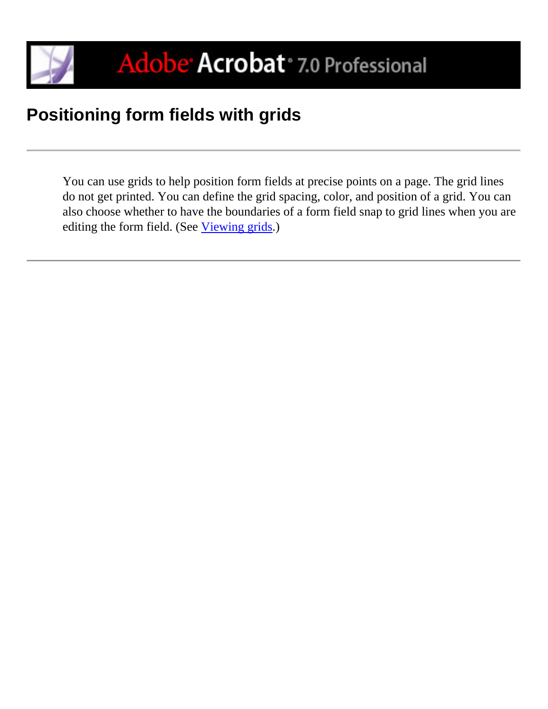<span id="page-30-0"></span>

# **Positioning form fields with grids**

You can use grids to help position form fields at precise points on a page. The grid lines do not get printed. You can define the grid spacing, color, and position of a grid. You can also choose whether to have the boundaries of a form field snap to grid lines when you are editing the form field. (See [Viewing grids](file:///040928/help/Pro/ToSpider/1_4_6_1.html).)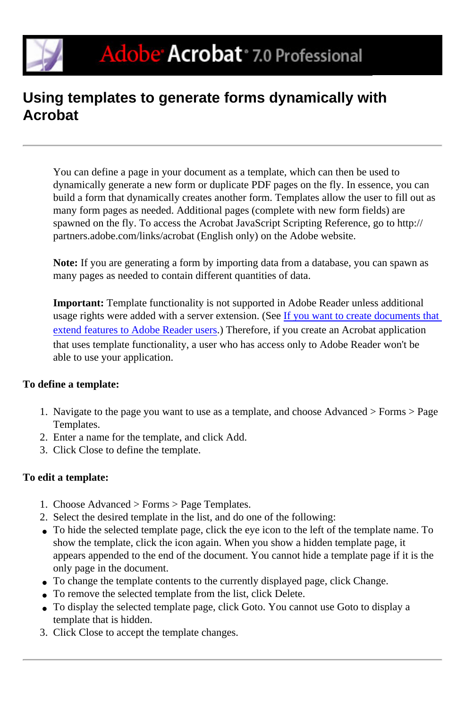

### **Using templates to generate forms dynamically with Acrobat**

You can define a page in your document as a template, which can then be used to dynamically generate a new form or duplicate PDF pages on the fly. In essence, you can build a form that dynamically creates another form. Templates allow the user to fill out as many form pages as needed. Additional pages (complete with new form fields) are spawned on the fly. To access the Acrobat JavaScript Scripting Reference, go to http:// partners.adobe.com/links/acrobat (English only) on the Adobe website.

**Note:** If you are generating a form by importing data from a database, you can spawn as many pages as needed to contain different quantities of data.

**Important:** Template functionality is not supported in Adobe Reader unless additional usage rights were added with a server extension. (See [If you want to create documents that](file:///040928/help/Pro/ToSpider/1_2_3_6.html)  [extend features to Adobe Reader users.](file:///040928/help/Pro/ToSpider/1_2_3_6.html)) Therefore, if you create an Acrobat application that uses template functionality, a user who has access only to Adobe Reader won't be able to use your application.

### **To define a template:**

- 1. Navigate to the page you want to use as a template, and choose Advanced > Forms > Page Templates.
- 2. Enter a name for the template, and click Add.
- 3. Click Close to define the template.

### **To edit a template:**

- 1. Choose Advanced > Forms > Page Templates.
- 2. Select the desired template in the list, and do one of the following:
- To hide the selected template page, click the eye icon to the left of the template name. To show the template, click the icon again. When you show a hidden template page, it appears appended to the end of the document. You cannot hide a template page if it is the only page in the document.
- To change the template contents to the currently displayed page, click Change.
- To remove the selected template from the list, click Delete.
- To display the selected template page, click Goto. You cannot use Goto to display a template that is hidden.
- 3. Click Close to accept the template changes.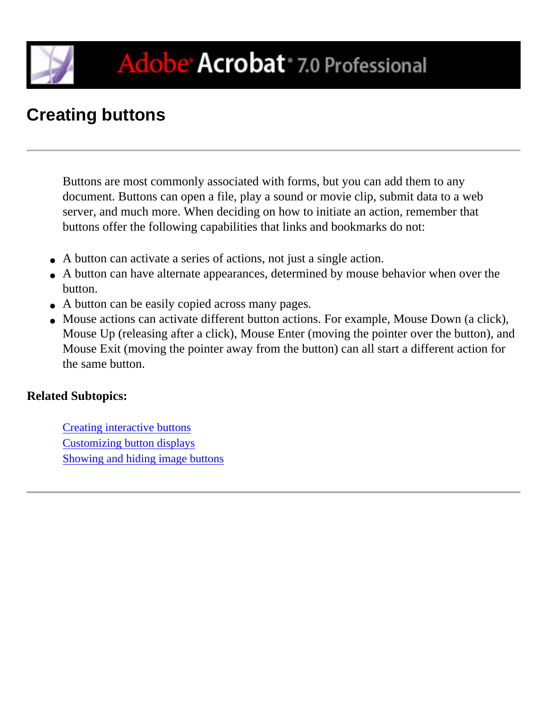

## **Creating buttons**

Buttons are most commonly associated with forms, but you can add them to any document. Buttons can open a file, play a sound or movie clip, submit data to a web server, and much more. When deciding on how to initiate an action, remember that buttons offer the following capabilities that links and bookmarks do not:

- A button can activate a series of actions, not just a single action.
- A button can have alternate appearances, determined by mouse behavior when over the button.
- A button can be easily copied across many pages.
- Mouse actions can activate different button actions. For example, Mouse Down (a click), Mouse Up (releasing after a click), Mouse Enter (moving the pointer over the button), and Mouse Exit (moving the pointer away from the button) can all start a different action for the same button.

### **Related Subtopics:**

[Creating interactive buttons](#page-33-0) [Customizing button displays](#page-34-0) [Showing and hiding image buttons](#page-35-0)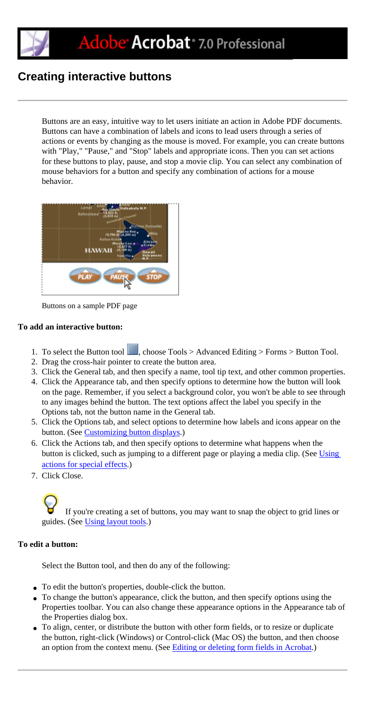<span id="page-33-1"></span><span id="page-33-0"></span>

## **Creating interactive buttons**

Buttons are an easy, intuitive way to let users initiate an action in Adobe PDF documents. Buttons can have a combination of labels and icons to lead users through a series of actions or events by changing as the mouse is moved. For example, you can create buttons with "Play," "Pause," and "Stop" labels and appropriate icons. Then you can set actions for these buttons to play, pause, and stop a movie clip. You can select any combination of mouse behaviors for a button and specify any combination of actions for a mouse behavior.



Buttons on a sample PDF page

### **To add an interactive button:**

- 1. To select the Button tool  $\Box$ , choose Tools > Advanced Editing > Forms > Button Tool.
- 2. Drag the cross-hair pointer to create the button area.
- 3. Click the General tab, and then specify a name, tool tip text, and other common properties.
- 4. Click the Appearance tab, and then specify options to determine how the button will look on the page. Remember, if you select a background color, you won't be able to see through to any images behind the button. The text options affect the label you specify in the Options tab, not the button name in the General tab.
- 5. Click the Options tab, and select options to determine how labels and icons appear on the button. (See [Customizing button displays](#page-34-1).)
- 6. Click the Actions tab, and then specify options to determine what happens when the button is clicked, such as jumping to a different page or playing a media clip. (See Using [actions for special effects.](file:///040928/help/Pro/ToSpider/1_30_5_0.html))
- 7. Click Close.

- To edit the button's properties, double-click the button.
- To change the button's appearance, click the button, and then specify options using the Properties toolbar. You can also change these appearance options in the Appearance tab of the Properties dialog box.
- To align, center, or distribute the button with other form fields, or to resize or duplicate the button, right-click (Windows) or Control-click (Mac OS) the button, and then choose an option from the context menu. (See [Editing or deleting form fields in Acrobat.](#page-12-1))

 If you're creating a set of buttons, you may want to snap the object to grid lines or guides. (See [Using layout tools.](file:///040928/help/Pro/ToSpider/1_4_6_0.html))

#### **To edit a button:**

Select the Button tool, and then do any of the following: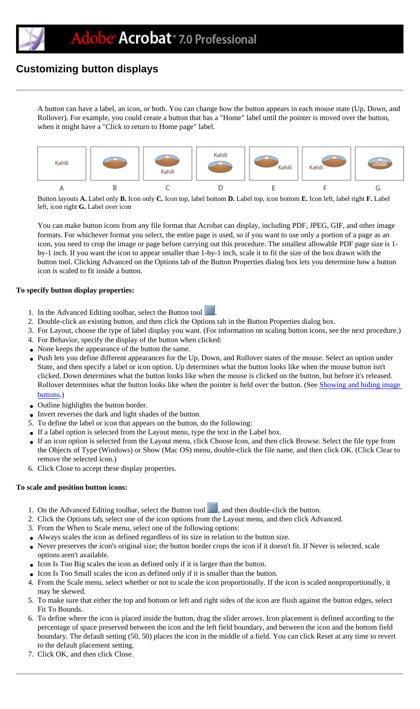# <span id="page-34-1"></span><span id="page-34-0"></span>**Customizing button displays**

A button can have a label, an icon, or both. You can change how the button appears in each mouse state (Up, Down, and Rollover). For example, you could create a button that has a "Home" label until the pointer is moved over the button, when it might have a "Click to return to Home page" label.



Button layouts **A.** Label only **B.** Icon only **C.** Icon top, label bottom **D.** Label top, icon bottom **E.** Icon left, label right **F.** Label left, icon right **G.** Label over icon

You can make button icons from any file format that Acrobat can display, including PDF, JPEG, GIF, and other image formats. For whichever format you select, the entire page is used, so if you want to use only a portion of a page as an icon, you need to crop the image or page before carrying out this procedure. The smallest allowable PDF page size is 1 by-1 inch. If you want the icon to appear smaller than 1-by-1 inch, scale it to fit the size of the box drawn with the button tool. Clicking Advanced on the Options tab of the Button Properties dialog box lets you determine how a button icon is scaled to fit inside a button.

### **To specify button display properties:**

- 1. In the Advanced Editing toolbar, select the Button tool .
- 2. Double-click an existing button, and then click the Options tab in the Button Properties dialog box.
- 3. For Layout, choose the type of label display you want. (For information on scaling button icons, see the next procedure.)
- 4. For Behavior, specify the display of the button when clicked:
- None keeps the appearance of the button the same.
- Push lets you define different appearances for the Up, Down, and Rollover states of the mouse. Select an option under State, and then specify a label or icon option. Up determines what the button looks like when the mouse button isn't clicked. Down determines what the button looks like when the mouse is clicked on the button, but before it's released. Rollover determines what the button looks like when the pointer is held over the button. (See [Showing and hiding image](#page-35-1) [buttons](#page-35-1).)
- Outline highlights the button border.
- Invert reverses the dark and light shades of the button.
- 5. To define the label or icon that appears on the button, do the following:
- If a label option is selected from the Layout menu, type the text in the Label box.
- If an icon option is selected from the Layout menu, click Choose Icon, and then click Browse. Select the file type from the Objects of Type (Windows) or Show (Mac OS) menu, double-click the file name, and then click OK. (Click Clear to remove the selected icon.)
- 6. Click Close to accept these display properties.

- 1. On the Advanced Editing toolbar, select the Button tool  $\Box$ , and then double-click the button.
- 2. Click the Options tab, select one of the icon options from the Layout menu, and then click Advanced.
- 3. From the When to Scale menu, select one of the following options:
- Always scales the icon as defined regardless of its size in relation to the button size.
- Never preserves the icon's original size; the button border crops the icon if it doesn't fit. If Never is selected, scale options aren't available.
- Icon Is Too Big scales the icon as defined only if it is larger than the button.
- Icon Is Too Small scales the icon as defined only if it is smaller than the button.
- 4. From the Scale menu, select whether or not to scale the icon proportionally. If the icon is scaled nonproportionally, it may be skewed.
- 5. To make sure that either the top and bottom or left and right sides of the icon are flush against the button edges, select Fit To Bounds.
- 6. To define where the icon is placed inside the button, drag the slider arrows. Icon placement is defined according to the percentage of space preserved between the icon and the left field boundary, and between the icon and the bottom field boundary. The default setting (50, 50) places the icon in the middle of a field. You can click Reset at any time to revert to the default placement setting.
- 7. Click OK, and then click Close.

#### **To scale and position button icons:**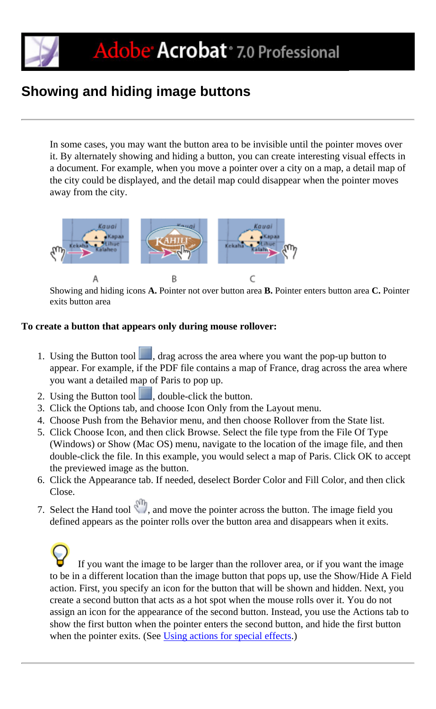<span id="page-35-0"></span>

## **Showing and hiding image buttons**

In some cases, you may want the button area to be invisible until the pointer moves over it. By alternately showing and hiding a button, you can create interesting visual effects in a document. For example, when you move a pointer over a city on a map, a detail map of the city could be displayed, and the detail map could disappear when the pointer moves away from the city.

<span id="page-35-1"></span>

Showing and hiding icons **A.** Pointer not over button area **B.** Pointer enters button area **C.** Pointer exits button area

### **To create a button that appears only during mouse rollover:**

- 1. Using the Button tool  $\Box$ , drag across the area where you want the pop-up button to appear. For example, if the PDF file contains a map of France, drag across the area where you want a detailed map of Paris to pop up.
- 2. Using the Button tool  $\Box$ , double-click the button.
- 3. Click the Options tab, and choose Icon Only from the Layout menu.
- 4. Choose Push from the Behavior menu, and then choose Rollover from the State list.
- 5. Click Choose Icon, and then click Browse. Select the file type from the File Of Type (Windows) or Show (Mac OS) menu, navigate to the location of the image file, and then double-click the file. In this example, you would select a map of Paris. Click OK to accept the previewed image as the button.
- 6. Click the Appearance tab. If needed, deselect Border Color and Fill Color, and then click Close.
- 7. Select the Hand tool  $\mathbb{S}^n$ , and move the pointer across the button. The image field you defined appears as the pointer rolls over the button area and disappears when it exits.

 If you want the image to be larger than the rollover area, or if you want the image to be in a different location than the image button that pops up, use the Show/Hide A Field action. First, you specify an icon for the button that will be shown and hidden. Next, you create a second button that acts as a hot spot when the mouse rolls over it. You do not assign an icon for the appearance of the second button. Instead, you use the Actions tab to show the first button when the pointer enters the second button, and hide the first button when the pointer exits. (See [Using actions for special effects](file:///040928/help/Pro/ToSpider/1_30_5_0.html).)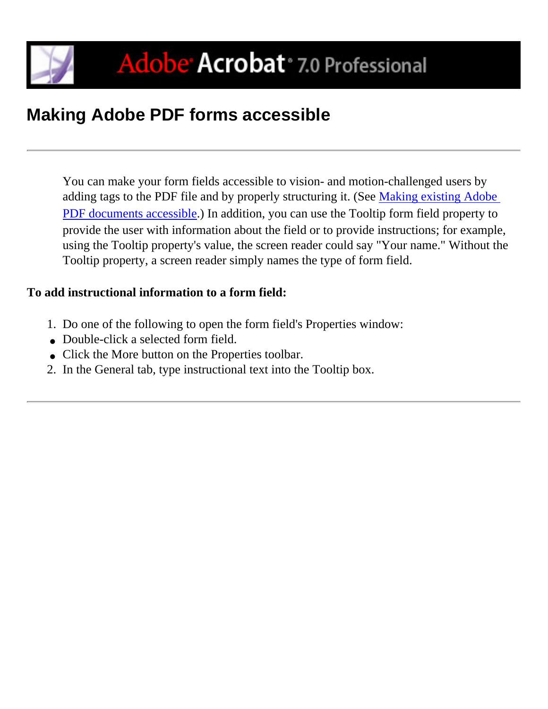

## <span id="page-36-1"></span>**Making Adobe PDF forms accessible**

You can make your form fields accessible to vision- and motion-challenged users by adding tags to the PDF file and by properly structuring it. (See [Making existing Adobe](file:///040928/help/Pro/ToSpider/1_25_1_0.html)  [PDF documents accessible](file:///040928/help/Pro/ToSpider/1_25_1_0.html).) In addition, you can use the Tooltip form field property to provide the user with information about the field or to provide instructions; for example, using the Tooltip property's value, the screen reader could say "Your name." Without the Tooltip property, a screen reader simply names the type of form field.

### **To add instructional information to a form field:**

- 1. Do one of the following to open the form field's Properties window:
- Double-click a selected form field.
- Click the More button on the Properties toolbar.
- <span id="page-36-0"></span>2. In the General tab, type instructional text into the Tooltip box.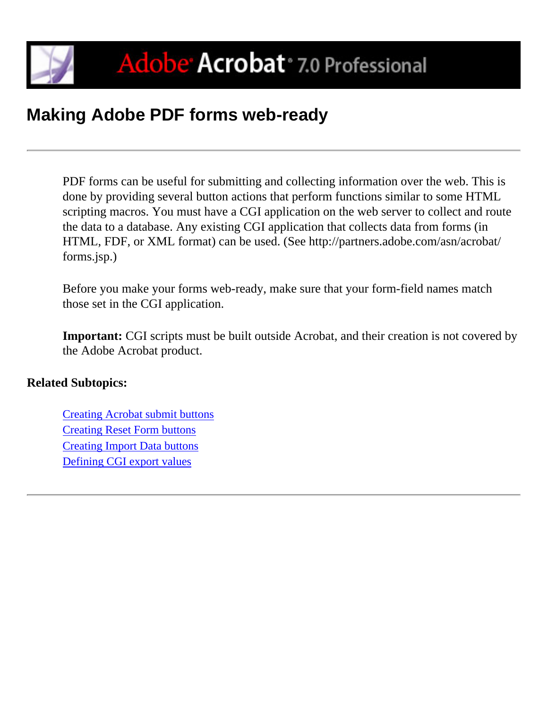

## **Making Adobe PDF forms web-ready**

PDF forms can be useful for submitting and collecting information over the web. This is done by providing several button actions that perform functions similar to some HTML scripting macros. You must have a CGI application on the web server to collect and route the data to a database. Any existing CGI application that collects data from forms (in HTML, FDF, or XML format) can be used. (See http://partners.adobe.com/asn/acrobat/ forms.jsp.)

Before you make your forms web-ready, make sure that your form-field names match those set in the CGI application.

**Important:** CGI scripts must be built outside Acrobat, and their creation is not covered by the Adobe Acrobat product.

### **Related Subtopics:**

[Creating Acrobat submit buttons](#page-38-0) [Creating Reset Form buttons](#page-39-0) [Creating Import Data buttons](#page-40-0) [Defining CGI export values](#page-41-0)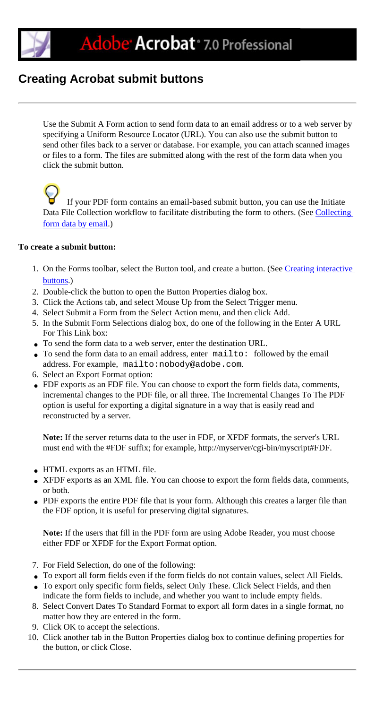<span id="page-38-1"></span><span id="page-38-0"></span>

## **Creating Acrobat submit buttons**

Use the Submit A Form action to send form data to an email address or to a web server by specifying a Uniform Resource Locator (URL). You can also use the submit button to send other files back to a server or database. For example, you can attach scanned images or files to a form. The files are submitted along with the rest of the form data when you click the submit button.

 If your PDF form contains an email-based submit button, you can use the Initiate Data File Collection workflow to facilitate distributing the form to others. (See Collecting [form data by email](#page-55-0).)

### **To create a submit button:**

- HTML exports as an HTML file.
- XFDF exports as an XML file. You can choose to export the form fields data, comments, or both.
- PDF exports the entire PDF file that is your form. Although this creates a larger file than the FDF option, it is useful for preserving digital signatures.
- 1. On the Forms toolbar, select the Button tool, and create a button. (See [Creating interactive](#page-33-1)  [buttons](#page-33-1).)
- 2. Double-click the button to open the Button Properties dialog box.
- 3. Click the Actions tab, and select Mouse Up from the Select Trigger menu.
- 4. Select Submit a Form from the Select Action menu, and then click Add.
- 5. In the Submit Form Selections dialog box, do one of the following in the Enter A URL For This Link box:
- To send the form data to a web server, enter the destination URL.
- To send the form data to an email address, enter mailto: followed by the email address. For example, mailto:nobody@adobe.com.
- 6. Select an Export Format option:
- FDF exports as an FDF file. You can choose to export the form fields data, comments, incremental changes to the PDF file, or all three. The Incremental Changes To The PDF option is useful for exporting a digital signature in a way that is easily read and reconstructed by a server.

**Note:** If the server returns data to the user in FDF, or XFDF formats, the server's URL must end with the #FDF suffix; for example, http://myserver/cgi-bin/myscript#FDF.

**Note:** If the users that fill in the PDF form are using Adobe Reader, you must choose either FDF or XFDF for the Export Format option.

- 7. For Field Selection, do one of the following:
- To export all form fields even if the form fields do not contain values, select All Fields.
- To export only specific form fields, select Only These. Click Select Fields, and then indicate the form fields to include, and whether you want to include empty fields.
- 8. Select Convert Dates To Standard Format to export all form dates in a single format, no matter how they are entered in the form.
- 9. Click OK to accept the selections.
- 10. Click another tab in the Button Properties dialog box to continue defining properties for the button, or click Close.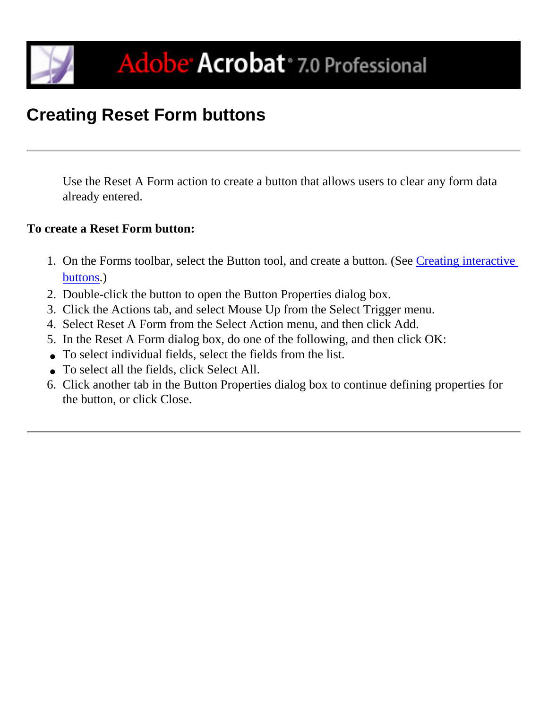<span id="page-39-0"></span>

# **Creating Reset Form buttons**

Use the Reset A Form action to create a button that allows users to clear any form data already entered.

### **To create a Reset Form button:**

- 1. On the Forms toolbar, select the Button tool, and create a button. (See [Creating interactive](#page-33-0)  [buttons](#page-33-0).)
- 2. Double-click the button to open the Button Properties dialog box.
- 3. Click the Actions tab, and select Mouse Up from the Select Trigger menu.
- 4. Select Reset A Form from the Select Action menu, and then click Add.
- 5. In the Reset A Form dialog box, do one of the following, and then click OK:
- To select individual fields, select the fields from the list.
- To select all the fields, click Select All.
- 6. Click another tab in the Button Properties dialog box to continue defining properties for the button, or click Close.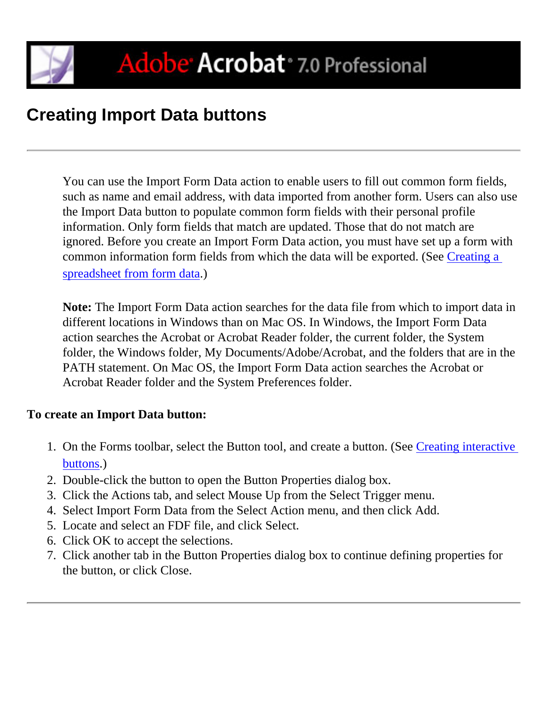<span id="page-40-0"></span>

# **Creating Import Data buttons**

You can use the Import Form Data action to enable users to fill out common form fields, such as name and email address, with data imported from another form. Users can also use the Import Data button to populate common form fields with their personal profile information. Only form fields that match are updated. Those that do not match are ignored. Before you create an Import Form Data action, you must have set up a form with common information form fields from which the data will be exported. (See [Creating a](#page-56-0)  [spreadsheet from form data.](#page-56-0))

**Note:** The Import Form Data action searches for the data file from which to import data in different locations in Windows than on Mac OS. In Windows, the Import Form Data action searches the Acrobat or Acrobat Reader folder, the current folder, the System folder, the Windows folder, My Documents/Adobe/Acrobat, and the folders that are in the PATH statement. On Mac OS, the Import Form Data action searches the Acrobat or Acrobat Reader folder and the System Preferences folder.

### **To create an Import Data button:**

- 1. On the Forms toolbar, select the Button tool, and create a button. (See [Creating interactive](#page-33-0)  [buttons](#page-33-0).)
- 2. Double-click the button to open the Button Properties dialog box.
- 3. Click the Actions tab, and select Mouse Up from the Select Trigger menu.
- 4. Select Import Form Data from the Select Action menu, and then click Add.
- 5. Locate and select an FDF file, and click Select.
- 6. Click OK to accept the selections.
- 7. Click another tab in the Button Properties dialog box to continue defining properties for the button, or click Close.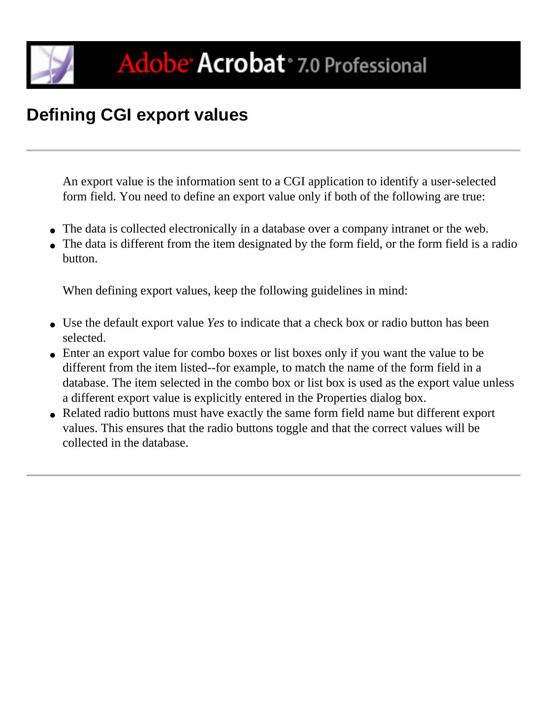<span id="page-41-0"></span>

# <span id="page-41-2"></span><span id="page-41-1"></span>**Defining CGI export values**

An export value is the information sent to a CGI application to identify a user-selected form field. You need to define an export value only if both of the following are true:

- The data is collected electronically in a database over a company intranet or the web.
- The data is different from the item designated by the form field, or the form field is a radio button.

When defining export values, keep the following guidelines in mind:

- Use the default export value *Yes* to indicate that a check box or radio button has been selected.
- Enter an export value for combo boxes or list boxes only if you want the value to be different from the item listed--for example, to match the name of the form field in a database. The item selected in the combo box or list box is used as the export value unless a different export value is explicitly entered in the Properties dialog box.
- Related radio buttons must have exactly the same form field name but different export values. This ensures that the radio buttons toggle and that the correct values will be collected in the database.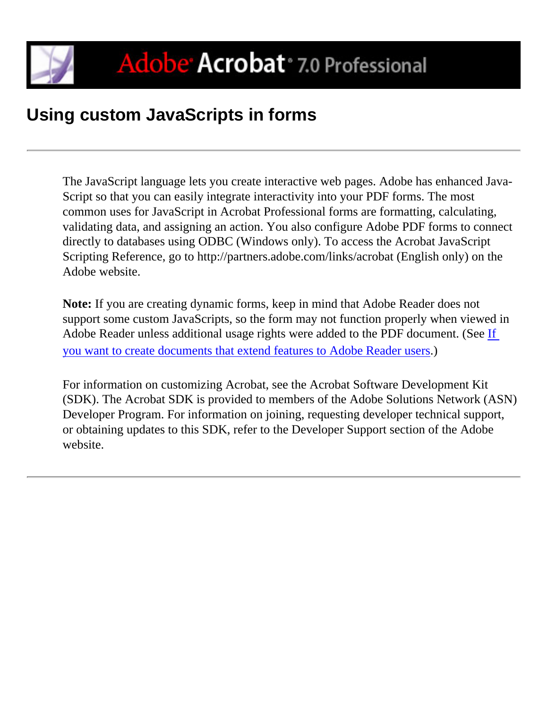

## **Using custom JavaScripts in forms**

The JavaScript language lets you create interactive web pages. Adobe has enhanced Java-Script so that you can easily integrate interactivity into your PDF forms. The most common uses for JavaScript in Acrobat Professional forms are formatting, calculating, validating data, and assigning an action. You also configure Adobe PDF forms to connect directly to databases using ODBC (Windows only). To access the Acrobat JavaScript Scripting Reference, go to http://partners.adobe.com/links/acrobat (English only) on the Adobe website.

**Note:** If you are creating dynamic forms, keep in mind that Adobe Reader does not support some custom JavaScripts, so the form may not function properly when viewed in Adobe Reader unless additional usage rights were added to the PDF document. (See [If](file:///040928/help/Pro/ToSpider/1_2_3_6.html) [you want to create documents that extend features to Adobe Reader users.](file:///040928/help/Pro/ToSpider/1_2_3_6.html))

For information on customizing Acrobat, see the Acrobat Software Development Kit (SDK). The Acrobat SDK is provided to members of the Adobe Solutions Network (ASN) Developer Program. For information on joining, requesting developer technical support, or obtaining updates to this SDK, refer to the Developer Support section of the Adobe website.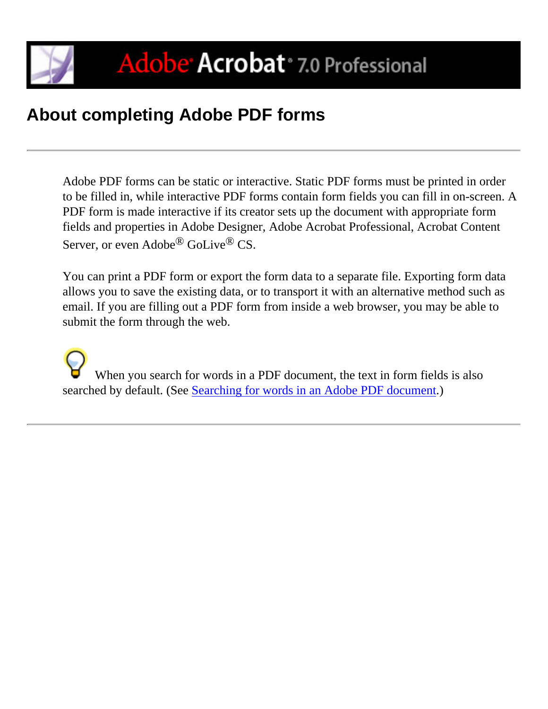

## **About completing Adobe PDF forms**

Adobe PDF forms can be static or interactive. Static PDF forms must be printed in order to be filled in, while interactive PDF forms contain form fields you can fill in on-screen. A PDF form is made interactive if its creator sets up the document with appropriate form fields and properties in Adobe Designer, Adobe Acrobat Professional, Acrobat Content Server, or even Adobe<sup>®</sup> GoLive<sup>®</sup> CS.

You can print a PDF form or export the form data to a separate file. Exporting form data allows you to save the existing data, or to transport it with an alternative method such as email. If you are filling out a PDF form from inside a web browser, you may be able to submit the form through the web.

When you search for words in a PDF document, the text in form fields is also searched by default. (See [Searching for words in an Adobe PDF document.](file:///040928/help/Pro/ToSpider/1_38_2_0.html))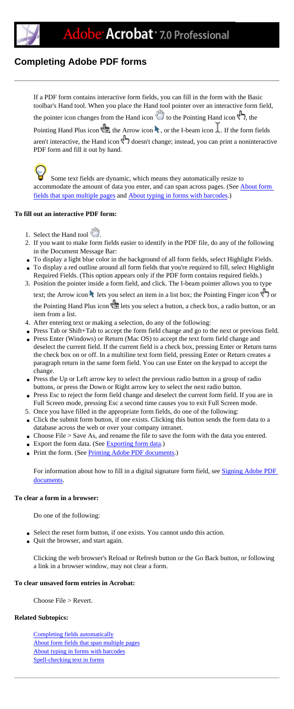

# **Completing Adobe PDF forms**

If a PDF form contains interactive form fields, you can fill in the form with the Basic toolbar's Hand tool. When you place the Hand tool pointer over an interactive form field, the pointer icon changes from the Hand icon  $\mathbb{C}^{\mathbb{N}}$  to the Pointing Hand icon  $\mathbb{C}^{\mathbb{N}}$ , the Pointing Hand Plus icon  $\mathbb{L}$ , the Arrow icon  $\mathbb{L}$ , or the I-beam icon  $\mathbb{L}$ . If the form fields aren't interactive, the Hand icon  $\mathbb{R}$  doesn't change; instead, you can print a noninteractive PDF form and fill it out by hand.

Some text fields are dynamic, which means they automatically resize to accommodate the amount of data you enter, and can span across pages. (See [About form](#page-46-0) [fields that span multiple pages](#page-46-0) and [About typing in forms with barcodes](#page-47-0).)

the Pointing Hand Plus icon  $\mathbb{R}$  lets you select a button, a check box, a radio button, or an item from a list.

- 4. After entering text or making a selection, do any of the following:
- Press Tab or Shift+Tab to accept the form field change and go to the next or previous field.
- Press Enter (Windows) or Return (Mac OS) to accept the text form field change and deselect the current field. If the current field is a check box, pressing Enter or Return turns the check box on or off. In a multiline text form field, pressing Enter or Return creates a paragraph return in the same form field. You can use Enter on the keypad to accept the change.
- Press the Up or Left arrow key to select the previous radio button in a group of radio buttons, or press the Down or Right arrow key to select the next radio button.
- Press Esc to reject the form field change and deselect the current form field. If you are in Full Screen mode, pressing Esc a second time causes you to exit Full Screen mode.
- 5. Once you have filled in the appropriate form fields, do one of the following:
- Click the submit form button, if one exists. Clicking this button sends the form data to a database across the web or over your company intranet.
- Choose File > Save As, and rename the file to save the form with the data you entered.
- Export the form data. (See [Exporting form data](#page-50-0).)
- Print the form. (See [Printing Adobe PDF documents](file:///040928/help/Pro/ToSpider/1_43_2_0.html).)

### **To fill out an interactive PDF form:**

- 1. Select the Hand tool
- 2. If you want to make form fields easier to identify in the PDF file, do any of the following in the Document Message Bar:
- To display a light blue color in the background of all form fields, select Highlight Fields.
- To display a red outline around all form fields that you're required to fill, select Highlight Required Fields. (This option appears only if the PDF form contains required fields.)
- 3. Position the pointer inside a form field, and click. The I-beam pointer allows you to type text; the Arrow icon **lets** you select an item in a list box; the Pointing Finger icon  $\Box$  or

For information about how to fill in a digital signature form field, see [Signing Adobe PDF](file:///040928/help/Pro/ToSpider/1_21_2_0.html)  [documents.](file:///040928/help/Pro/ToSpider/1_21_2_0.html)

#### **To clear a form in a browser:**

Do one of the following:

- Select the reset form button, if one exists. You cannot undo this action.
- Quit the browser, and start again.

Clicking the web browser's Reload or Refresh button or the Go Back button, or following a link in a browser window, may not clear a form.

#### **To clear unsaved form entries in Acrobat:**

Choose File > Revert.

### **Related Subtopics:**

[Completing fields automatically](#page-45-1) [About form fields that span multiple pages](#page-46-0) [About typing in forms with barcodes](#page-47-0) [Spell-checking text in forms](#page-48-0)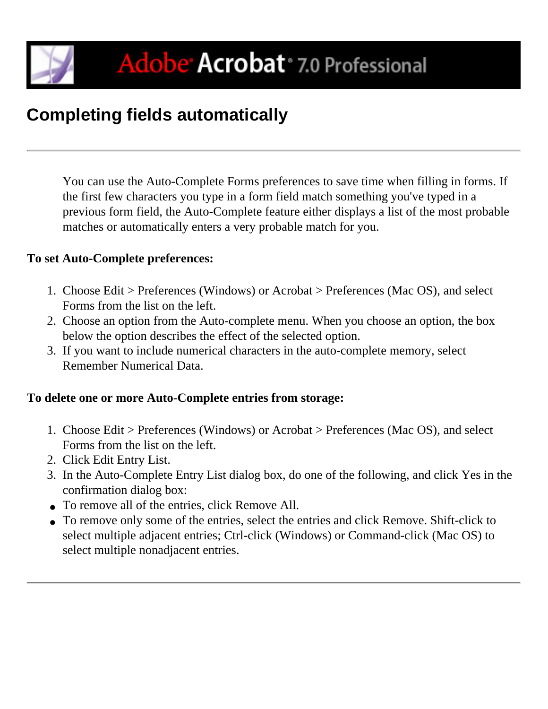<span id="page-45-0"></span>

# **Completing fields automatically**

You can use the Auto-Complete Forms preferences to save time when filling in forms. If the first few characters you type in a form field match something you've typed in a previous form field, the Auto-Complete feature either displays a list of the most probable matches or automatically enters a very probable match for you.

### **To set Auto-Complete preferences:**

- 1. Choose Edit > Preferences (Windows) or Acrobat > Preferences (Mac OS), and select Forms from the list on the left.
- 2. Choose an option from the Auto-complete menu. When you choose an option, the box below the option describes the effect of the selected option.
- 3. If you want to include numerical characters in the auto-complete memory, select Remember Numerical Data.

### **To delete one or more Auto-Complete entries from storage:**

- 1. Choose Edit > Preferences (Windows) or Acrobat > Preferences (Mac OS), and select Forms from the list on the left.
- 2. Click Edit Entry List.
- 3. In the Auto-Complete Entry List dialog box, do one of the following, and click Yes in the confirmation dialog box:
- To remove all of the entries, click Remove All.
- <span id="page-45-1"></span>● To remove only some of the entries, select the entries and click Remove. Shift-click to select multiple adjacent entries; Ctrl-click (Windows) or Command-click (Mac OS) to select multiple nonadjacent entries.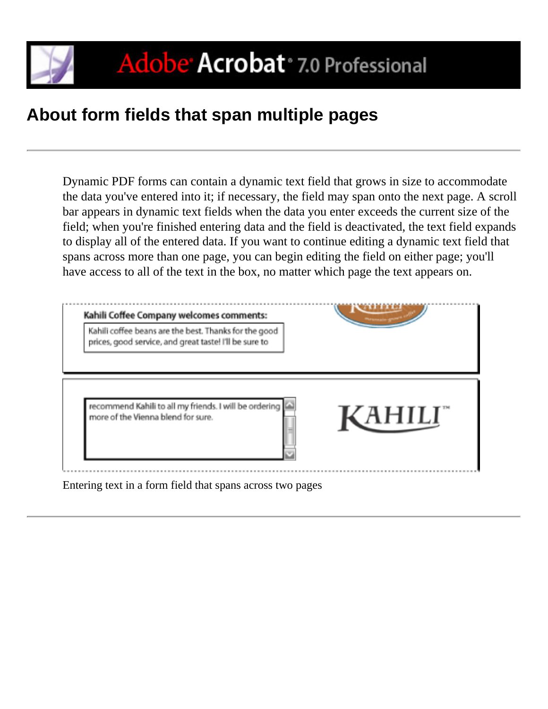

### **About form fields that span multiple pages**

Dynamic PDF forms can contain a dynamic text field that grows in size to accommodate the data you've entered into it; if necessary, the field may span onto the next page. A scroll bar appears in dynamic text fields when the data you enter exceeds the current size of the field; when you're finished entering data and the field is deactivated, the text field expands to display all of the entered data. If you want to continue editing a dynamic text field that spans across more than one page, you can begin editing the field on either page; you'll have access to all of the text in the box, no matter which page the text appears on.

<span id="page-46-0"></span>

| Kahili coffee beans are the best. Thanks for the good<br>prices, good service, and great taste! I'll be sure to |                      |
|-----------------------------------------------------------------------------------------------------------------|----------------------|
| recommend Kahili to all my friends. I will be ordering<br>more of the Vienna blend for sure.                    | <b><i>CAHILI</i></b> |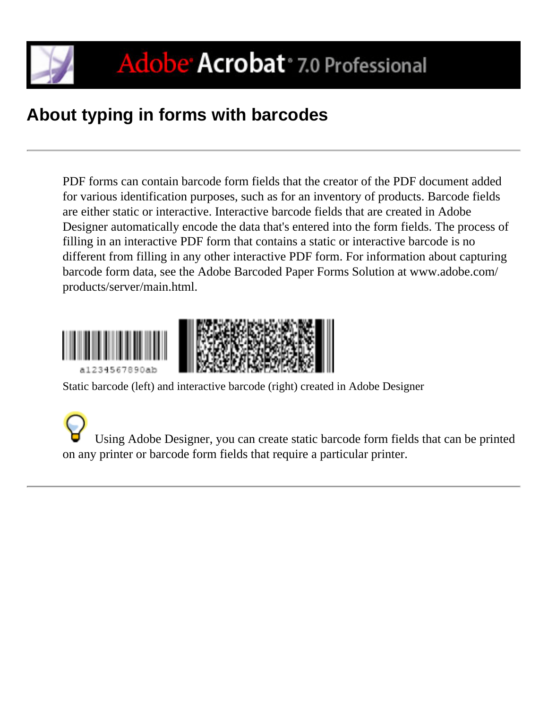

# **About typing in forms with barcodes**

PDF forms can contain barcode form fields that the creator of the PDF document added for various identification purposes, such as for an inventory of products. Barcode fields are either static or interactive. Interactive barcode fields that are created in Adobe Designer automatically encode the data that's entered into the form fields. The process of filling in an interactive PDF form that contains a static or interactive barcode is no different from filling in any other interactive PDF form. For information about capturing barcode form data, see the Adobe Barcoded Paper Forms Solution at www.adobe.com/ products/server/main.html.



Static barcode (left) and interactive barcode (right) created in Adobe Designer

<span id="page-47-0"></span>Using Adobe Designer, you can create static barcode form fields that can be printed on any printer or barcode form fields that require a particular printer.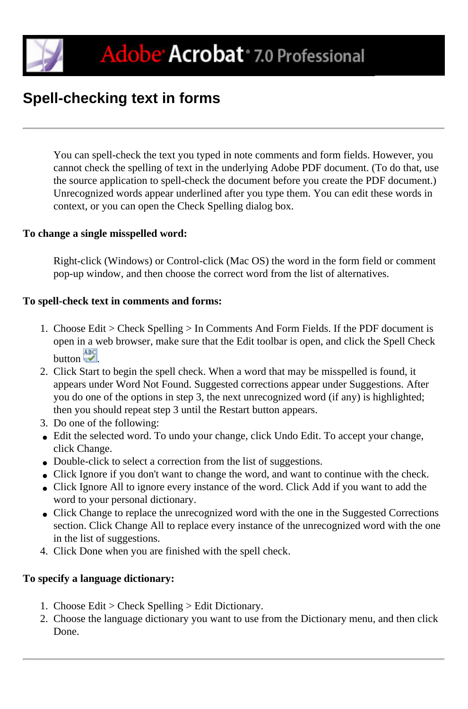

# **Spell-checking text in forms**

You can spell-check the text you typed in note comments and form fields. However, you cannot check the spelling of text in the underlying Adobe PDF document. (To do that, use the source application to spell-check the document before you create the PDF document.) Unrecognized words appear underlined after you type them. You can edit these words in context, or you can open the Check Spelling dialog box.

### **To change a single misspelled word:**

Right-click (Windows) or Control-click (Mac OS) the word in the form field or comment pop-up window, and then choose the correct word from the list of alternatives.

### **To spell-check text in comments and forms:**

- 1. Choose Edit > Check Spelling > In Comments And Form Fields. If the PDF document is open in a web browser, make sure that the Edit toolbar is open, and click the Spell Check button **ABC**
- 2. Click Start to begin the spell check. When a word that may be misspelled is found, it appears under Word Not Found. Suggested corrections appear under Suggestions. After you do one of the options in step 3, the next unrecognized word (if any) is highlighted; then you should repeat step 3 until the Restart button appears.
- <span id="page-48-0"></span>3. Do one of the following:
- Edit the selected word. To undo your change, click Undo Edit. To accept your change, click Change.
- Double-click to select a correction from the list of suggestions.
- Click Ignore if you don't want to change the word, and want to continue with the check.
- Click Ignore All to ignore every instance of the word. Click Add if you want to add the word to your personal dictionary.
- Click Change to replace the unrecognized word with the one in the Suggested Corrections section. Click Change All to replace every instance of the unrecognized word with the one in the list of suggestions.
- 4. Click Done when you are finished with the spell check.

### **To specify a language dictionary:**

- 1. Choose Edit > Check Spelling > Edit Dictionary.
- 2. Choose the language dictionary you want to use from the Dictionary menu, and then click Done.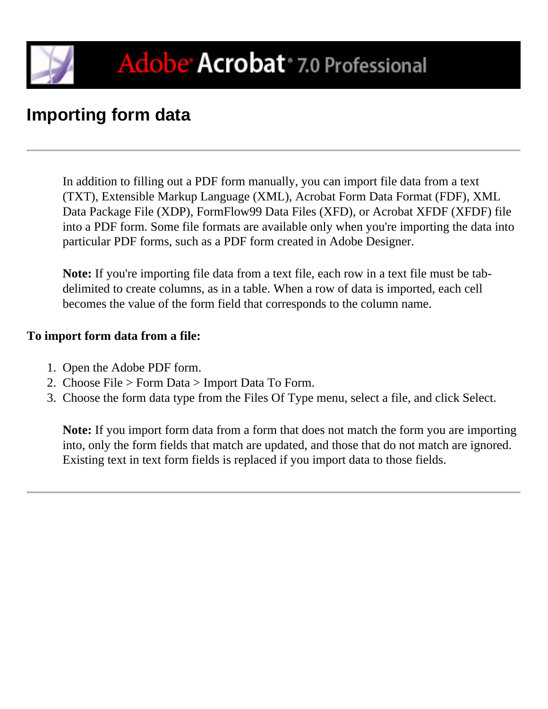<span id="page-49-0"></span>

### **Importing form data**

In addition to filling out a PDF form manually, you can import file data from a text (TXT), Extensible Markup Language (XML), Acrobat Form Data Format (FDF), XML Data Package File (XDP), FormFlow99 Data Files (XFD), or Acrobat XFDF (XFDF) file into a PDF form. Some file formats are available only when you're importing the data into particular PDF forms, such as a PDF form created in Adobe Designer.

**Note:** If you're importing file data from a text file, each row in a text file must be tabdelimited to create columns, as in a table. When a row of data is imported, each cell becomes the value of the form field that corresponds to the column name.

#### **To import form data from a file:**

- 1. Open the Adobe PDF form.
- 2. Choose File > Form Data > Import Data To Form.
- 3. Choose the form data type from the Files Of Type menu, select a file, and click Select.

**Note:** If you import form data from a form that does not match the form you are importing into, only the form fields that match are updated, and those that do not match are ignored. Existing text in text form fields is replaced if you import data to those fields.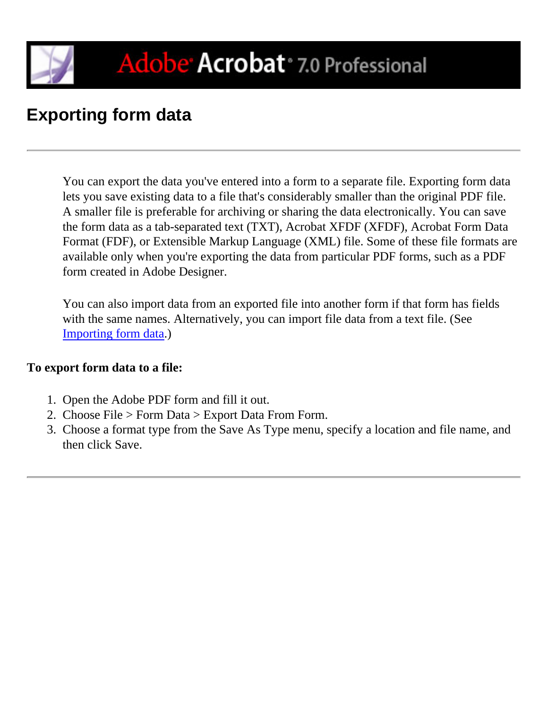

## **Exporting form data**

You can export the data you've entered into a form to a separate file. Exporting form data lets you save existing data to a file that's considerably smaller than the original PDF file. A smaller file is preferable for archiving or sharing the data electronically. You can save the form data as a tab-separated text (TXT), Acrobat XFDF (XFDF), Acrobat Form Data Format (FDF), or Extensible Markup Language (XML) file. Some of these file formats are available only when you're exporting the data from particular PDF forms, such as a PDF form created in Adobe Designer.

You can also import data from an exported file into another form if that form has fields with the same names. Alternatively, you can import file data from a text file. (See [Importing form data.](#page-49-0))

### **To export form data to a file:**

- 1. Open the Adobe PDF form and fill it out.
- 2. Choose File > Form Data > Export Data From Form.
- <span id="page-50-0"></span>3. Choose a format type from the Save As Type menu, specify a location and file name, and then click Save.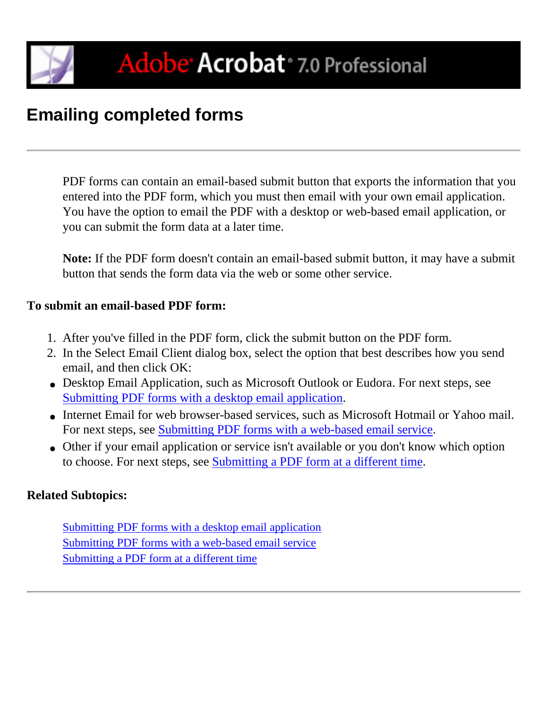

# **Emailing completed forms**

PDF forms can contain an email-based submit button that exports the information that you entered into the PDF form, which you must then email with your own email application. You have the option to email the PDF with a desktop or web-based email application, or you can submit the form data at a later time.

**Note:** If the PDF form doesn't contain an email-based submit button, it may have a submit button that sends the form data via the web or some other service.

#### **To submit an email-based PDF form:**

- 1. After you've filled in the PDF form, click the submit button on the PDF form.
- 2. In the Select Email Client dialog box, select the option that best describes how you send email, and then click OK:
- Desktop Email Application, such as Microsoft Outlook or Eudora. For next steps, see [Submitting PDF forms with a desktop email application](#page-52-0).
- Internet Email for web browser-based services, such as Microsoft Hotmail or Yahoo mail. For next steps, see [Submitting PDF forms with a web-based email service.](#page-53-0)
- Other if your email application or service isn't available or you don't know which option to choose. For next steps, see [Submitting a PDF form at a different time](#page-54-0).

### **Related Subtopics:**

[Submitting PDF forms with a desktop email application](#page-52-0) [Submitting PDF forms with a web-based email service](#page-53-0) [Submitting a PDF form at a different time](#page-54-0)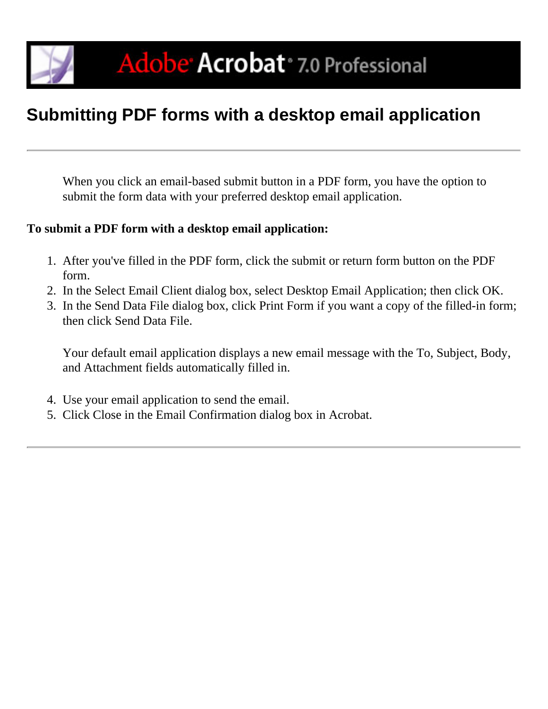<span id="page-52-0"></span>

## **Submitting PDF forms with a desktop email application**

When you click an email-based submit button in a PDF form, you have the option to submit the form data with your preferred desktop email application.

#### **To submit a PDF form with a desktop email application:**

- 1. After you've filled in the PDF form, click the submit or return form button on the PDF form.
- 2. In the Select Email Client dialog box, select Desktop Email Application; then click OK.
- 3. In the Send Data File dialog box, click Print Form if you want a copy of the filled-in form; then click Send Data File.

Your default email application displays a new email message with the To, Subject, Body, and Attachment fields automatically filled in.

- 4. Use your email application to send the email.
- 5. Click Close in the Email Confirmation dialog box in Acrobat.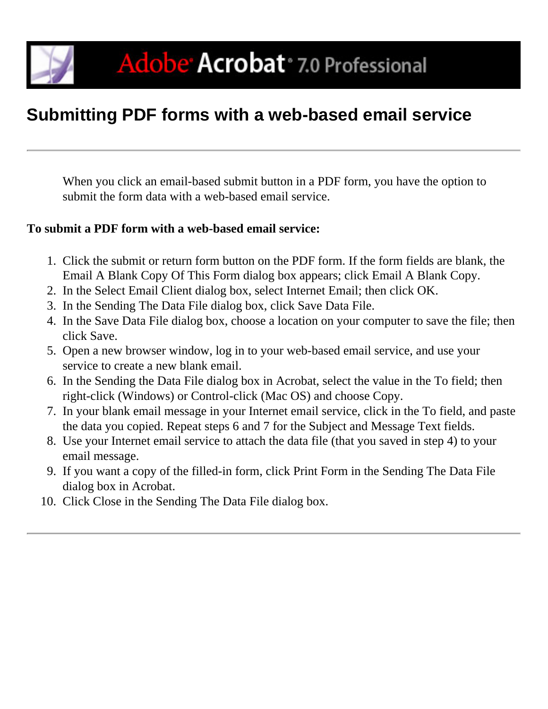<span id="page-53-0"></span>

## **Submitting PDF forms with a web-based email service**

When you click an email-based submit button in a PDF form, you have the option to submit the form data with a web-based email service.

### **To submit a PDF form with a web-based email service:**

- 1. Click the submit or return form button on the PDF form. If the form fields are blank, the Email A Blank Copy Of This Form dialog box appears; click Email A Blank Copy.
- 2. In the Select Email Client dialog box, select Internet Email; then click OK.
- 3. In the Sending The Data File dialog box, click Save Data File.
- 4. In the Save Data File dialog box, choose a location on your computer to save the file; then click Save.
- 5. Open a new browser window, log in to your web-based email service, and use your service to create a new blank email.
- 6. In the Sending the Data File dialog box in Acrobat, select the value in the To field; then right-click (Windows) or Control-click (Mac OS) and choose Copy.
- 7. In your blank email message in your Internet email service, click in the To field, and paste the data you copied. Repeat steps 6 and 7 for the Subject and Message Text fields.
- 8. Use your Internet email service to attach the data file (that you saved in step 4) to your email message.
- 9. If you want a copy of the filled-in form, click Print Form in the Sending The Data File dialog box in Acrobat.
- 10. Click Close in the Sending The Data File dialog box.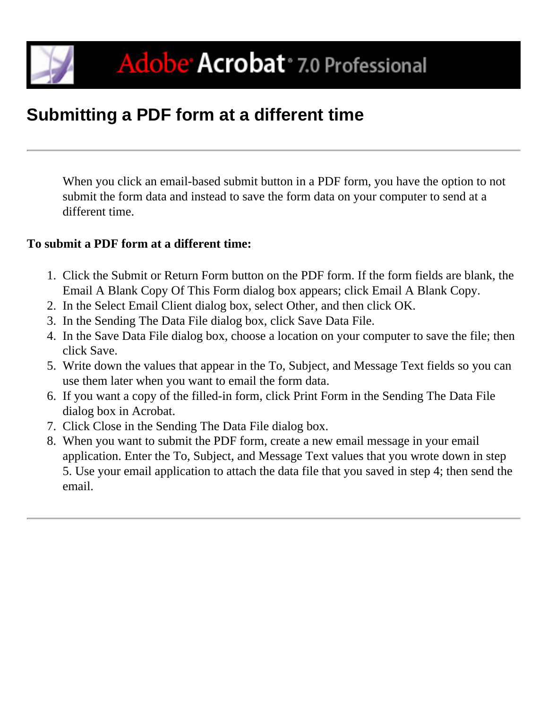<span id="page-54-0"></span>

## **Submitting a PDF form at a different time**

When you click an email-based submit button in a PDF form, you have the option to not submit the form data and instead to save the form data on your computer to send at a different time.

### **To submit a PDF form at a different time:**

- 1. Click the Submit or Return Form button on the PDF form. If the form fields are blank, the Email A Blank Copy Of This Form dialog box appears; click Email A Blank Copy.
- 2. In the Select Email Client dialog box, select Other, and then click OK.
- 3. In the Sending The Data File dialog box, click Save Data File.
- 4. In the Save Data File dialog box, choose a location on your computer to save the file; then click Save.
- 5. Write down the values that appear in the To, Subject, and Message Text fields so you can use them later when you want to email the form data.
- 6. If you want a copy of the filled-in form, click Print Form in the Sending The Data File dialog box in Acrobat.
- 7. Click Close in the Sending The Data File dialog box.
- 8. When you want to submit the PDF form, create a new email message in your email application. Enter the To, Subject, and Message Text values that you wrote down in step 5. Use your email application to attach the data file that you saved in step 4; then send the email.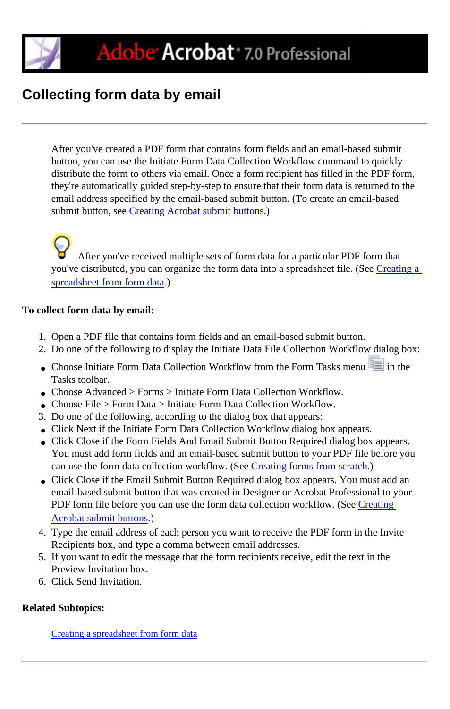

## **Collecting form data by email**

<span id="page-55-0"></span>After you've created a PDF form that contains form fields and an email-based submit button, you can use the Initiate Form Data Collection Workflow command to quickly distribute the form to others via email. Once a form recipient has filled in the PDF form, they're automatically guided step-by-step to ensure that their form data is returned to the email address specified by the email-based submit button. (To create an email-based submit button, see [Creating Acrobat submit buttons.](#page-38-1))

After you've received multiple sets of form data for a particular PDF form that you've distributed, you can organize the form data into a spreadsheet file. (See [Creating a](#page-56-1) [spreadsheet from form data.](#page-56-1))

### **To collect form data by email:**

- 1. Open a PDF file that contains form fields and an email-based submit button.
- 2. Do one of the following to display the Initiate Data File Collection Workflow dialog box:
- Choose Initiate Form Data Collection Workflow from the Form Tasks menu Tasks toolbar.
- Choose Advanced > Forms > Initiate Form Data Collection Workflow.
- Choose File  $>$  Form Data  $>$  Initiate Form Data Collection Workflow.
- 3. Do one of the following, according to the dialog box that appears:
- Click Next if the Initiate Form Data Collection Workflow dialog box appears.
- Click Close if the Form Fields And Email Submit Button Required dialog box appears. You must add form fields and an email-based submit button to your PDF file before you can use the form data collection workflow. (See [Creating forms from scratch](#page-10-0).)
- Click Close if the Email Submit Button Required dialog box appears. You must add an email-based submit button that was created in Designer or Acrobat Professional to your PDF form file before you can use the form data collection workflow. (See [Creating](#page-38-1)  [Acrobat submit buttons](#page-38-1).)
- 4. Type the email address of each person you want to receive the PDF form in the Invite Recipients box, and type a comma between email addresses.
- 5. If you want to edit the message that the form recipients receive, edit the text in the Preview Invitation box.
- 6. Click Send Invitation.

### **Related Subtopics:**

[Creating a spreadsheet from form data](#page-56-1)